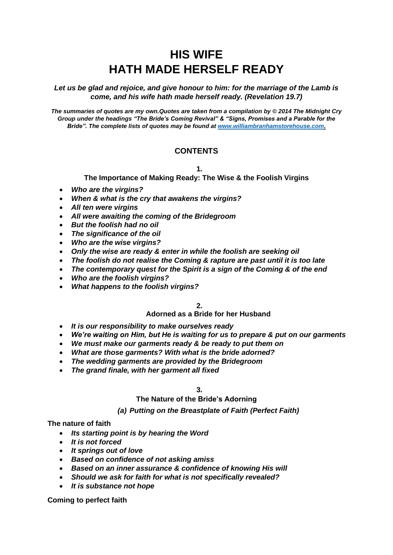# **HIS WIFE HATH MADE HERSELF READY**

*Let us be glad and rejoice, and give honour to him: for the marriage of the Lamb is come, and his wife hath made herself ready. (Revelation 19.7)*

*The summaries of quotes are my own.Quotes are taken from a compilation by © 2014 The Midnight Cry Group under the headings "The Bride's Coming Revival" & "Signs, Promises and a Parable for the Bride". The complete lists of quotes may be found at [www.williambranhamstorehouse.com.](http://www.williambranhamstorehouse.com/)*

### **CONTENTS**

**1.**

**The Importance of Making Ready: The Wise & the Foolish Virgins**

- *Who are the virgins?*
- *When & what is the cry that awakens the virgins?*
- *All ten were virgins*
- *All were awaiting the coming of the Bridegroom*
- *But the foolish had no oil*
- *The significance of the oil*
- *Who are the wise virgins?*
- *Only the wise are ready & enter in while the foolish are seeking oil*
- *The foolish do not realise the Coming & rapture are past until it is too late*
- *The contemporary quest for the Spirit is a sign of the Coming & of the end*
- *Who are the foolish virgins?*
- *What happens to the foolish virgins?*

**2.**

#### **Adorned as a Bride for her Husband**

- *It is our responsibility to make ourselves ready*
- *We're waiting on Him, but He is waiting for us to prepare & put on our garments*
- *We must make our garments ready & be ready to put them on*
- *What are those garments? With what is the bride adorned?*
- *The wedding garments are provided by the Bridegroom*
- *The grand finale, with her garment all fixed*

**3.**

#### **The Nature of the Bride's Adorning**

#### *(a) Putting on the Breastplate of Faith (Perfect Faith)*

#### **The nature of faith**

- *Its starting point is by hearing the Word*
- *It is not forced*
- *It springs out of love*
- *Based on confidence of not asking amiss*
- *Based on an inner assurance & confidence of knowing His will*
- *Should we ask for faith for what is not specifically revealed?*
- *It is substance not hope*

**Coming to perfect faith**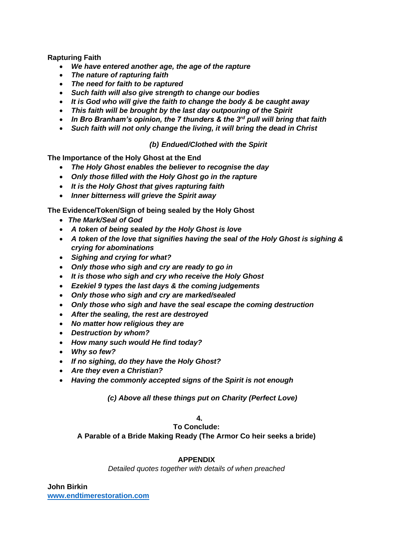**Rapturing Faith**

- *We have entered another age, the age of the rapture*
- *The nature of rapturing faith*
- *The need for faith to be raptured*
- *Such faith will also give strength to change our bodies*
- *It is God who will give the faith to change the body & be caught away*
- *This faith will be brought by the last day outpouring of the Spirit*
- *In Bro Branham's opinion, the 7 thunders & the 3rd pull will bring that faith*
- *Such faith will not only change the living, it will bring the dead in Christ*

*(b) Endued/Clothed with the Spirit*

**The Importance of the Holy Ghost at the End**

- *The Holy Ghost enables the believer to recognise the day*
- *Only those filled with the Holy Ghost go in the rapture*
- *It is the Holy Ghost that gives rapturing faith*
- *Inner bitterness will grieve the Spirit away*

**The Evidence/Token/Sign of being sealed by the Holy Ghost**

- *The Mark/Seal of God*
- *A token of being sealed by the Holy Ghost is love*
- *A token of the love that signifies having the seal of the Holy Ghost is sighing & crying for abominations*
- *Sighing and crying for what?*
- *Only those who sigh and cry are ready to go in*
- *It is those who sigh and cry who receive the Holy Ghost*
- *Ezekiel 9 types the last days & the coming judgements*
- *Only those who sigh and cry are marked/sealed*
- *Only those who sigh and have the seal escape the coming destruction*
- *After the sealing, the rest are destroyed*
- *No matter how religious they are*
- *Destruction by whom?*
- *How many such would He find today?*
- *Why so few?*
- *If no sighing, do they have the Holy Ghost?*
- *Are they even a Christian?*
- *Having the commonly accepted signs of the Spirit is not enough*

*(c) Above all these things put on Charity (Perfect Love)*

### **4.**

**To Conclude: A Parable of a Bride Making Ready (The Armor Co heir seeks a bride)**

#### **APPENDIX**

*Detailed quotes together with details of when preached*

**John Birkin [www.endtimerestoration.com](http://www.endtimerestoration.com/)**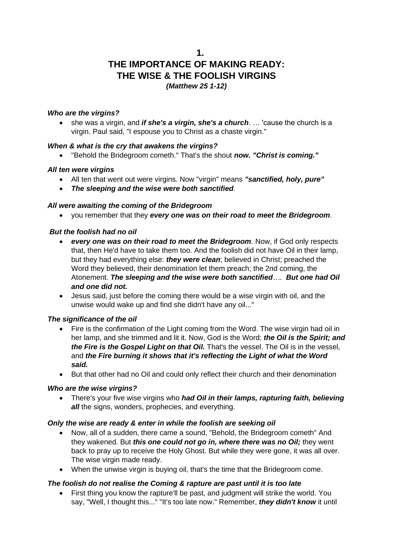**1.**

## **THE IMPORTANCE OF MAKING READY: THE WISE & THE FOOLISH VIRGINS** *(Matthew 25 1-12)*

### *Who are the virgins?*

• she was a virgin, and *if she's a virgin, she's a church*. … 'cause the church is a virgin. Paul said, "I espouse you to Christ as a chaste virgin."

### *When & what is the cry that awakens the virgins?*

• "Behold the Bridegroom cometh." That's the shout *now. "Christ is coming."*

### *All ten were virgins*

- All ten that went out were virgins. Now "virgin" means *"sanctified, holy, pure"*
- *The sleeping and the wise were both sanctified.*

### *All were awaiting the coming of the Bridegroom*

• you remember that they *every one was on their road to meet the Bridegroom.* 

#### *But the foolish had no oil*

- *every one was on their road to meet the Bridegroom.* Now, if God only respects that, then He'd have to take them too. And the foolish did not have Oil in their lamp, but they had everything else: *they were clean*; believed in Christ; preached the Word they believed, their denomination let them preach; the 2nd coming, the Atonement. *The sleeping and the wise were both sanctified…. But one had Oil and one did not.*
- Jesus said, just before the coming there would be a wise virgin with oil, and the unwise would wake up and find she didn't have any oil..."

#### *The significance of the oil*

- Fire is the confirmation of the Light coming from the Word. The wise virgin had oil in her lamp, and she trimmed and lit it. Now, God is the Word; *the Oil is the Spirit; and the Fire is the Gospel Light on that Oil.* That's the vessel. The Oil is in the vessel, and *the Fire burning it shows that it's reflecting the Light of what the Word said.*
- But that other had no Oil and could only reflect their church and their denomination

#### *Who are the wise virgins?*

• There's your five wise virgins who *had Oil in their lamps, rapturing faith, believing all* the signs, wonders, prophecies, and everything.

#### *Only the wise are ready & enter in while the foolish are seeking oil*

- Now, all of a sudden, there came a sound, "Behold, the Bridegroom cometh" And they wakened. But *this one could not go in, where there was no Oil;* they went back to pray up to receive the Holy Ghost. But while they were gone, it was all over. The wise virgin made ready.
- When the unwise virgin is buying oil, that's the time that the Bridegroom come.

#### *The foolish do not realise the Coming & rapture are past until it is too late*

• First thing you know the rapture'll be past, and judgment will strike the world. You say, "Well, I thought this..." "It's too late now." Remember, *they didn't know* it until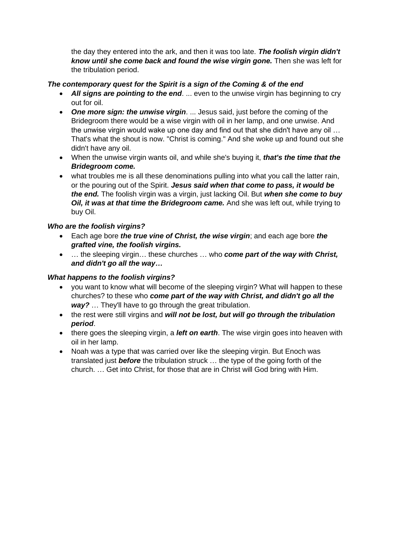the day they entered into the ark, and then it was too late. *The foolish virgin didn't know until she come back and found the wise virgin gone.* Then she was left for the tribulation period.

### *The contemporary quest for the Spirit is a sign of the Coming & of the end*

- *All signs are pointing to the end*. ... even to the unwise virgin has beginning to cry out for oil.
- *One more sign: the unwise virgin*. ... Jesus said, just before the coming of the Bridegroom there would be a wise virgin with oil in her lamp, and one unwise. And the unwise virgin would wake up one day and find out that she didn't have any oil … That's what the shout is now. "Christ is coming." And she woke up and found out she didn't have any oil.
- When the unwise virgin wants oil, and while she's buying it, *that's the time that the Bridegroom come.*
- what troubles me is all these denominations pulling into what you call the latter rain, or the pouring out of the Spirit. *Jesus said when that come to pass, it would be the end.* The foolish virgin was a virgin, just lacking Oil. But *when she come to buy Oil, it was at that time the Bridegroom came.* And she was left out, while trying to buy Oil.

### *Who are the foolish virgins?*

- Each age bore *the true vine of Christ, the wise virgin*; and each age bore *the grafted vine, the foolish virgins.*
- … the sleeping virgin… these churches … who *come part of the way with Christ, and didn't go all the way…*

### *What happens to the foolish virgins?*

- you want to know what will become of the sleeping virgin? What will happen to these churches? to these who *come part of the way with Christ, and didn't go all the way?* … They'll have to go through the great tribulation.
- the rest were still virgins and *will not be lost, but will go through the tribulation period*.
- there goes the sleeping virgin, a *left on earth*. The wise virgin goes into heaven with oil in her lamp.
- Noah was a type that was carried over like the sleeping virgin. But Enoch was translated just *before* the tribulation struck … the type of the going forth of the church. … Get into Christ, for those that are in Christ will God bring with Him.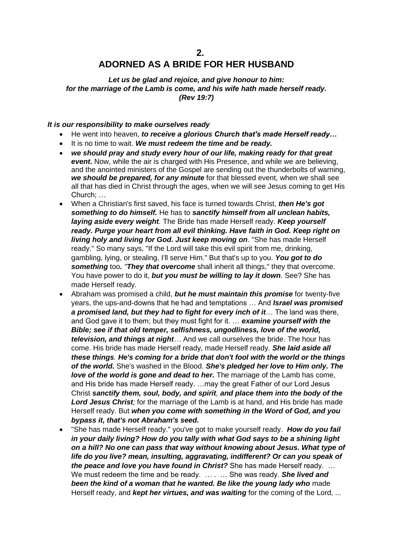## **ADORNED AS A BRIDE FOR HER HUSBAND**

*Let us be glad and rejoice, and give honour to him: for the marriage of the Lamb is come, and his wife hath made herself ready. (Rev 19:7)*

#### *It is our responsibility to make ourselves ready*

- He went into heaven, *to receive a glorious Church that's made Herself ready…*
- It is no time to wait. *We must redeem the time and be ready.*
- *we should pray and study every hour of our life, making ready for that great event.* Now, while the air is charged with His Presence, and while we are believing, and the anointed ministers of the Gospel are sending out the thunderbolts of warning, *we should be prepared, for any minute* for that blessed event, when we shall see all that has died in Christ through the ages, when we will see Jesus coming to get His Church; …
- When a Christian's first saved, his face is turned towards Christ, *then He's got something to do himself.* He has to *sanctify himself from all unclean habits, laying aside every weight.* The Bride has made Herself ready. *Keep yourself ready. Purge your heart from all evil thinking. Have faith in God. Keep right on living holy and living for God. Just keep moving on*. "She has made Herself ready." So many says, "If the Lord will take this evil spirit from me, drinking, gambling, lying, or stealing, I'll serve Him." But that's up to you. *You got to do something* too*. "They that overcome* shall inherit all things," they that overcome. You have power to do it, *but you must be willing to lay it down.* See? She has made Herself ready.
- Abraham was promised a child, *but he must maintain this promise* for twenty-five years, the ups-and-downs that he had and temptations … And *Israel was promised a promised land, but they had to fight for every inch of it*… The land was there, and God gave it to them; but they must fight for it. … *examine yourself with the Bible; see if that old temper, selfishness, ungodliness, love of the world, television, and things at night…* And we call ourselves the bride. The hour has come. His bride has made Herself ready, made Herself ready. *She laid aside all these things. He's coming for a bride that don't fool with the world or the things of the world.* She's washed in the Blood. *She's pledged her love to Him only. The love of the world is gone and dead to her.* The marriage of the Lamb has come, and His bride has made Herself ready. …may the great Father of our Lord Jesus Christ *sanctify them, soul, body, and spirit, and place them into the body of the Lord Jesus Christ;* for the marriage of the Lamb is at hand, and His bride has made Herself ready. But *when you come with something in the Word of God, and you bypass it, that's not Abraham's seed.*
- "She has made Herself ready." you've got to make yourself ready. *How do you fail in your daily living? How do you tally with what God says to be a shining light on a hill? No one can pass that way without knowing about Jesus. What type of life do you live? mean, insulting, aggravating, indifferent? Or can you speak of the peace and love you have found in Christ?* She has made Herself ready. … We must redeem the time and be ready. ... . ... She was ready. **She lived and** *been the kind of a woman that he wanted. Be like the young lady who* made Herself ready, and *kept her virtues, and was waiting* for the coming of the Lord, ...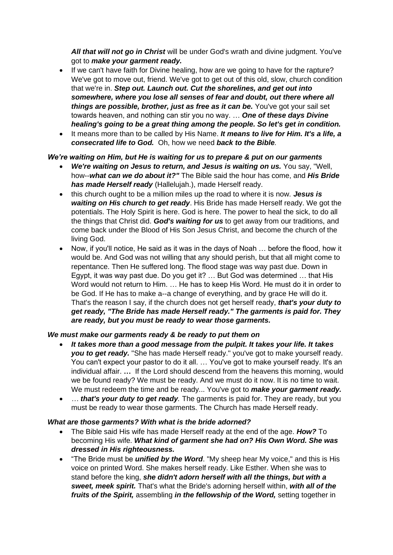*All that will not go in Christ* will be under God's wrath and divine judgment. You've got to *make your garment ready.* 

- If we can't have faith for Divine healing, how are we going to have for the rapture? We've got to move out, friend. We've got to get out of this old, slow, church condition that we're in. *Step out. Launch out. Cut the shorelines, and get out into somewhere, where you lose all senses of fear and doubt, out there where all things are possible, brother, just as free as it can be.* You've got your sail set towards heaven, and nothing can stir you no way. … *One of these days Divine healing's going to be a great thing among the people. So let's get in condition.*
- It means more than to be called by His Name. *It means to live for Him. It's a life, a consecrated life to God.* Oh, how we need *back to the Bible.*

### *We're waiting on Him, but He is waiting for us to prepare & put on our garments*

- *We're waiting on Jesus to return, and Jesus is waiting on us.* You say, "Well, how--*what can we do about it?"* The Bible said the hour has come, and *His Bride has made Herself ready* (Hallelujah.), made Herself ready.
- this church ought to be a million miles up the road to where it is now. *Jesus is waiting on His church to get ready*. His Bride has made Herself ready. We got the potentials. The Holy Spirit is here. God is here. The power to heal the sick, to do all the things that Christ did. *God's waiting for us* to get away from our traditions, and come back under the Blood of His Son Jesus Christ, and become the church of the living God.
- Now, if you'll notice, He said as it was in the days of Noah … before the flood, how it would be. And God was not willing that any should perish, but that all might come to repentance. Then He suffered long. The flood stage was way past due. Down in Egypt, it was way past due. Do you get it? … But God was determined … that His Word would not return to Him. … He has to keep His Word. He must do it in order to be God. If He has to make a--a change of everything, and by grace He will do it. That's the reason I say, if the church does not get herself ready, *that's your duty to get ready, "The Bride has made Herself ready." The garments is paid for. They are ready, but you must be ready to wear those garments.*

#### *We must make our garments ready & be ready to put them on*

- *It takes more than a good message from the pulpit. It takes your life. It takes you to get ready.* "She has made Herself ready." you've got to make yourself ready. You can't expect your pastor to do it all. … You've got to make yourself ready. It's an individual affair. **…** If the Lord should descend from the heavens this morning, would we be found ready? We must be ready. And we must do it now. It is no time to wait. We must redeem the time and be ready... You've got to *make your garment ready.*
- *… that's your duty to get ready*. The garments is paid for. They are ready, but you must be ready to wear those garments. The Church has made Herself ready.

#### *What are those garments? With what is the bride adorned?*

- The Bible said His wife has made Herself ready at the end of the age. *How?* To becoming His wife. *What kind of garment she had on? His Own Word. She was dressed in His righteousness.*
- "The Bride must be *unified by the Word*. "My sheep hear My voice," and this is His voice on printed Word. She makes herself ready. Like Esther. When she was to stand before the king, *she didn't adorn herself with all the things, but with a sweet, meek spirit.* That's what the Bride's adorning herself within, *with all of the fruits of the Spirit,* assembling *in the fellowship of the Word,* setting together in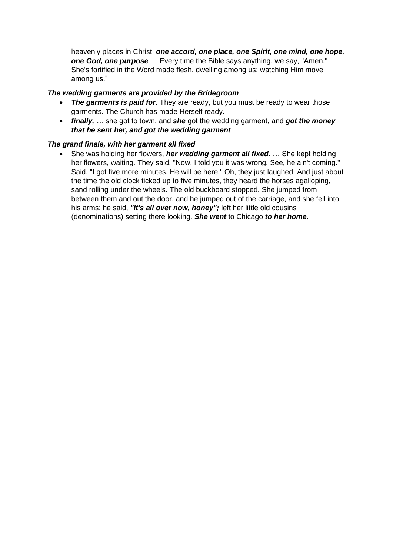heavenly places in Christ: *one accord, one place, one Spirit, one mind, one hope,*  **one God, one purpose** ... Every time the Bible says anything, we say, "Amen." She's fortified in the Word made flesh, dwelling among us; watching Him move among us."

### *The wedding garments are provided by the Bridegroom*

- **The garments is paid for.** They are ready, but you must be ready to wear those garments. The Church has made Herself ready.
- *finally, …* she got to town, and *she* got the wedding garment, and *got the money that he sent her, and got the wedding garment*

### *The grand finale, with her garment all fixed*

• She was holding her flowers, *her wedding garment all fixed.* … She kept holding her flowers, waiting. They said, "Now, I told you it was wrong. See, he ain't coming." Said, "I got five more minutes. He will be here." Oh, they just laughed. And just about the time the old clock ticked up to five minutes, they heard the horses agalloping, sand rolling under the wheels. The old buckboard stopped. She jumped from between them and out the door, and he jumped out of the carriage, and she fell into his arms; he said, *"It's all over now, honey";* left her little old cousins (denominations) setting there looking. *She went* to Chicago *to her home.*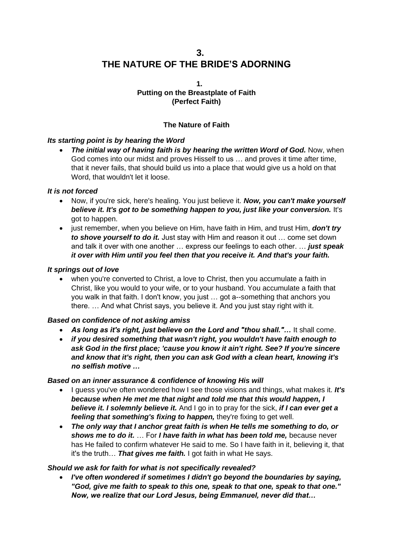## **3. THE NATURE OF THE BRIDE'S ADORNING**

#### **1. Putting on the Breastplate of Faith (Perfect Faith)**

### **The Nature of Faith**

### *Its starting point is by hearing the Word*

• *The initial way of having faith is by hearing the written Word of God.* Now, when God comes into our midst and proves Hisself to us … and proves it time after time, that it never fails, that should build us into a place that would give us a hold on that Word, that wouldn't let it loose.

### *It is not forced*

- Now, if you're sick, here's healing. You just believe it. *Now, you can't make yourself believe it. It's got to be something happen to you, just like your conversion.* It's got to happen.
- just remember, when you believe on Him, have faith in Him, and trust Him, *don't try to shove yourself to do it.* Just stay with Him and reason it out … come set down and talk it over with one another … express our feelings to each other. … *just speak it over with Him until you feel then that you receive it. And that's your faith.*

#### *It springs out of love*

• when you're converted to Christ, a love to Christ, then you accumulate a faith in Christ, like you would to your wife, or to your husband. You accumulate a faith that you walk in that faith. I don't know, you just … got a--something that anchors you there. … And what Christ says, you believe it. And you just stay right with it.

#### *Based on confidence of not asking amiss*

- As long as it's right, just believe on the Lord and "thou shall,"... It shall come.
- *if you desired something that wasn't right, you wouldn't have faith enough to ask God in the first place; 'cause you know it ain't right. See? If you're sincere and know that it's right, then you can ask God with a clean heart, knowing it's no selfish motive …*

#### *Based on an inner assurance & confidence of knowing His will*

- I guess you've often wondered how I see those visions and things, what makes it. *It's because when He met me that night and told me that this would happen, I believe it. I solemnly believe it.* And I go in to pray for the sick, *if I can ever get a feeling that something's fixing to happen,* they're fixing to get well.
- *The only way that I anchor great faith is when He tells me something to do, or shows me to do it.* … For *I have faith in what has been told me,* because never has He failed to confirm whatever He said to me. So I have faith in it, believing it, that it's the truth… *That gives me faith.* I got faith in what He says.

#### *Should we ask for faith for what is not specifically revealed?*

• *I've often wondered if sometimes I didn't go beyond the boundaries by saying, "God, give me faith to speak to this one, speak to that one, speak to that one." Now, we realize that our Lord Jesus, being Emmanuel, never did that…*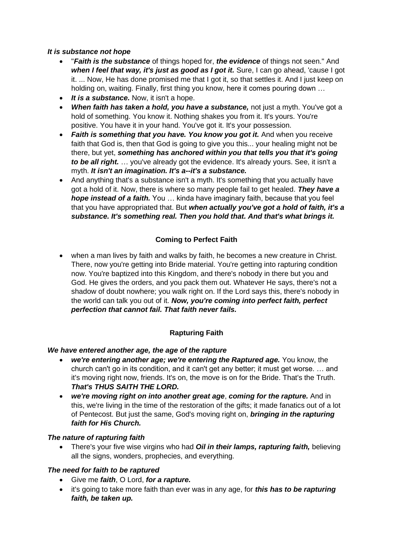### *It is substance not hope*

- "*Faith is the substance* of things hoped for, *the evidence* of things not seen." And *when I feel that way, it's just as good as I got it.* Sure, I can go ahead, 'cause I got it. ... Now, He has done promised me that I got it, so that settles it. And I just keep on holding on, waiting. Finally, first thing you know, here it comes pouring down …
- *It is a substance.* Now, it isn't a hope.
- *When faith has taken a hold, you have a substance,* not just a myth. You've got a hold of something. You know it. Nothing shakes you from it. It's yours. You're positive. You have it in your hand. You've got it. It's your possession.
- *Faith is something that you have. You know you got it.* And when you receive faith that God is, then that God is going to give you this... your healing might not be there, but yet, *something has anchored within you that tells you that it's going to be all right.* … you've already got the evidence. It's already yours. See, it isn't a myth. *It isn't an imagination. It's a--it's a substance.*
- And anything that's a substance isn't a myth. It's something that you actually have got a hold of it. Now, there is where so many people fail to get healed. *They have a hope instead of a faith.* You … kinda have imaginary faith, because that you feel that you have appropriated that. But *when actually you've got a hold of faith, it's a substance. It's something real. Then you hold that. And that's what brings it.*

### **Coming to Perfect Faith**

• when a man lives by faith and walks by faith, he becomes a new creature in Christ. There, now you're getting into Bride material. You're getting into rapturing condition now. You're baptized into this Kingdom, and there's nobody in there but you and God. He gives the orders, and you pack them out. Whatever He says, there's not a shadow of doubt nowhere; you walk right on. If the Lord says this, there's nobody in the world can talk you out of it. *Now, you're coming into perfect faith, perfect perfection that cannot fail. That faith never fails.*

### **Rapturing Faith**

#### *We have entered another age, the age of the rapture*

- *we're entering another age; we're entering the Raptured age.* You know, the church can't go in its condition, and it can't get any better; it must get worse. … and it's moving right now, friends. It's on, the move is on for the Bride. That's the Truth. *That's THUS SAITH THE LORD.*
- *we're moving right on into another great age*, *coming for the rapture.* And in this, we're living in the time of the restoration of the gifts; it made fanatics out of a lot of Pentecost. But just the same, God's moving right on, *bringing in the rapturing faith for His Church.*

#### *The nature of rapturing faith*

• There's your five wise virgins who had *Oil in their lamps, rapturing faith,* believing all the signs, wonders, prophecies, and everything.

#### *The need for faith to be raptured*

- Give me *faith*, O Lord, *for a rapture.*
- it's going to take more faith than ever was in any age, for *this has to be rapturing faith, be taken up.*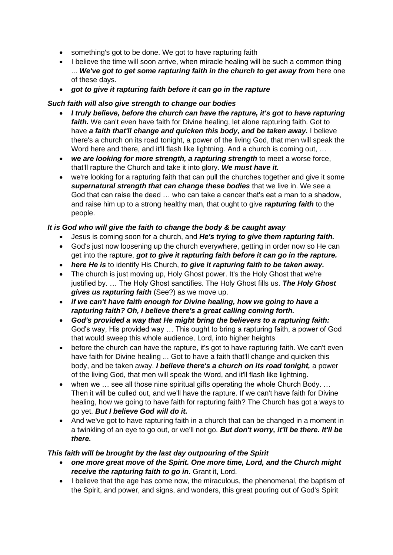- something's got to be done. We got to have rapturing faith
- I believe the time will soon arrive, when miracle healing will be such a common thing ... *We've got to get some rapturing faith in the church to get away from* here one of these days.
- *got to give it rapturing faith before it can go in the rapture*

### *Such faith will also give strength to change our bodies*

- *I truly believe, before the church can have the rapture, it's got to have rapturing faith.* We can't even have faith for Divine healing, let alone rapturing faith. Got to have *a faith that'll change and quicken this body, and be taken away.* I believe there's a church on its road tonight, a power of the living God, that men will speak the Word here and there, and it'll flash like lightning. And a church is coming out, …
- *we are looking for more strength, a rapturing strength* to meet a worse force, that'll rapture the Church and take it into glory. *We must have it.*
- we're looking for a rapturing faith that can pull the churches together and give it some *supernatural strength that can change these bodies* that we live in. We see a God that can raise the dead … who can take a cancer that's eat a man to a shadow, and raise him up to a strong healthy man, that ought to give *rapturing faith* to the people.

### *It is God who will give the faith to change the body & be caught away*

- Jesus is coming soon for a church, and *He's trying to give them rapturing faith.*
- God's just now loosening up the church everywhere, getting in order now so He can get into the rapture, *got to give it rapturing faith before it can go in the rapture.*
- *here He is* to identify His Church, *to give it rapturing faith to be taken away.*
- The church is just moving up, Holy Ghost power. It's the Holy Ghost that we're justified by. … The Holy Ghost sanctifies. The Holy Ghost fills us. *The Holy Ghost gives us rapturing faith* (See?) as we move up.
- *if we can't have faith enough for Divine healing, how we going to have a rapturing faith? Oh, I believe there's a great calling coming forth.*
- *God's provided a way that He might bring the believers to a rapturing faith:* God's way, His provided way … This ought to bring a rapturing faith, a power of God that would sweep this whole audience, Lord, into higher heights
- before the church can have the rapture, it's got to have rapturing faith. We can't even have faith for Divine healing ... Got to have a faith that'll change and quicken this body, and be taken away. *I believe there's a church on its road tonight,* a power of the living God, that men will speak the Word, and it'll flash like lightning.
- when we … see all those nine spiritual gifts operating the whole Church Body. … Then it will be culled out, and we'll have the rapture. If we can't have faith for Divine healing, how we going to have faith for rapturing faith? The Church has got a ways to go yet. *But I believe God will do it.*
- And we've got to have rapturing faith in a church that can be changed in a moment in a twinkling of an eye to go out, or we'll not go. *But don't worry, it'll be there. It'll be there.*

### *This faith will be brought by the last day outpouring of the Spirit*

- *one more great move of the Spirit. One more time, Lord, and the Church might receive the rapturing faith to go in.* Grant it, Lord.
- I believe that the age has come now, the miraculous, the phenomenal, the baptism of the Spirit, and power, and signs, and wonders, this great pouring out of God's Spirit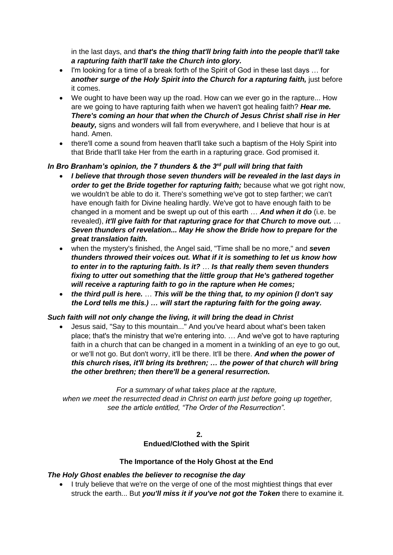in the last days, and *that's the thing that'll bring faith into the people that'll take a rapturing faith that'll take the Church into glory.* 

- I'm looking for a time of a break forth of the Spirit of God in these last days … for *another surge of the Holy Spirit into the Church for a rapturing faith,* just before it comes.
- We ought to have been way up the road. How can we ever go in the rapture... How are we going to have rapturing faith when we haven't got healing faith? *Hear me. There's coming an hour that when the Church of Jesus Christ shall rise in Her beauty,* signs and wonders will fall from everywhere, and I believe that hour is at hand. Amen.
- there'll come a sound from heaven that'll take such a baptism of the Holy Spirit into that Bride that'll take Her from the earth in a rapturing grace. God promised it.

### *In Bro Branham's opinion, the 7 thunders & the 3rd pull will bring that faith*

- *I believe that through those seven thunders will be revealed in the last days in order to get the Bride together for rapturing faith;* because what we got right now, we wouldn't be able to do it. There's something we've got to step farther; we can't have enough faith for Divine healing hardly. We've got to have enough faith to be changed in a moment and be swept up out of this earth … *And when it do* (i.e. be revealed), *it'll give faith for that rapturing grace for that Church to move out.* … *Seven thunders of revelation... May He show the Bride how to prepare for the great translation faith.*
- when the mystery's finished, the Angel said, "Time shall be no more," and *seven thunders throwed their voices out. What if it is something to let us know how to enter in to the rapturing faith. Is it?* … *Is that really them seven thunders fixing to utter out something that the little group that He's gathered together will receive a rapturing faith to go in the rapture when He comes;*
- *the third pull is here.* … *This will be the thing that, to my opinion (I don't say the Lord tells me this.) … will start the rapturing faith for the going away.*

### *Such faith will not only change the living, it will bring the dead in Christ*

• Jesus said, "Say to this mountain..." And you've heard about what's been taken place; that's the ministry that we're entering into. … And we've got to have rapturing faith in a church that can be changed in a moment in a twinkling of an eye to go out, or we'll not go. But don't worry, it'll be there. It'll be there. *And when the power of this church rises, it'll bring its brethren; … the power of that church will bring the other brethren; then there'll be a general resurrection.*

*For a summary of what takes place at the rapture, when we meet the resurrected dead in Christ on earth just before going up together, see the article entitled, "The Order of the Resurrection".*

#### **2. Endued/Clothed with the Spirit**

### **The Importance of the Holy Ghost at the End**

### *The Holy Ghost enables the believer to recognise the day*

• I truly believe that we're on the verge of one of the most mightiest things that ever struck the earth... But *you'll miss it if you've not got the Token* there to examine it.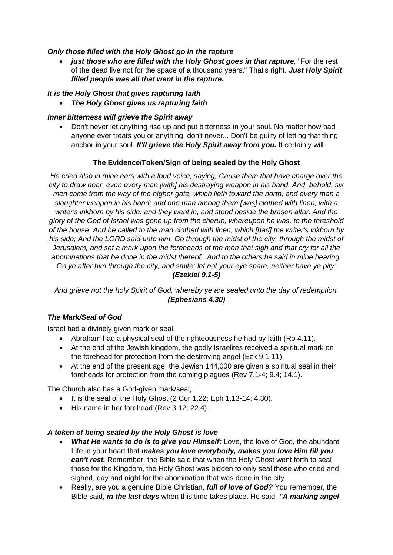### *Only those filled with the Holy Ghost go in the rapture*

• *just those who are filled with the Holy Ghost goes in that rapture,* "For the rest of the dead live not for the space of a thousand years." That's right. *Just Holy Spirit filled people was all that went in the rapture.* 

### *It is the Holy Ghost that gives rapturing faith*

• *The Holy Ghost gives us rapturing faith*

### *Inner bitterness will grieve the Spirit away*

• Don't never let anything rise up and put bitterness in your soul. No matter how bad anyone ever treats you or anything, don't never... Don't be guilty of letting that thing anchor in your soul. *It'll grieve the Holy Spirit away from you.* It certainly will.

### **The Evidence/Token/Sign of being sealed by the Holy Ghost**

*He cried also in mine ears with a loud voice, saying, Cause them that have charge over the city to draw near, even every man [with] his destroying weapon in his hand. And, behold, six men came from the way of the higher gate, which lieth toward the north, and every man a slaughter weapon in his hand; and one man among them [was] clothed with linen, with a writer's inkhorn by his side: and they went in, and stood beside the brasen altar. And the glory of the God of Israel was gone up from the cherub, whereupon he was, to the threshold of the house. And he called to the man clothed with linen, which [had] the writer's inkhorn by*  his side; And the LORD said unto him, Go through the midst of the city, through the midst of *Jerusalem, and set a mark upon the foreheads of the men that sigh and that cry for all the abominations that be done in the midst thereof. And to the others he said in mine hearing, Go ye after him through the city, and smite: let not your eye spare, neither have ye pity: (Ezekiel 9.1-5)*

*And grieve not the holy Spirit of God, whereby ye are sealed unto the day of redemption. (Ephesians 4.30)*

### *The Mark/Seal of God*

Israel had a divinely given mark or seal,

- Abraham had a physical seal of the righteousness he had by faith (Ro 4.11).
- At the end of the Jewish kingdom, the godly Israelites received a spiritual mark on the forehead for protection from the destroying angel (Ezk 9.1-11).
- At the end of the present age, the Jewish 144,000 are given a spiritual seal in their foreheads for protection from the coming plagues (Rev 7.1-4; 9.4; 14.1).

The Church also has a God-given mark/seal,

- It is the seal of the Holy Ghost (2 Cor 1.22; Eph 1.13-14; 4.30).
- His name in her forehead (Rev 3.12: 22.4).

### *A token of being sealed by the Holy Ghost is love*

- *What He wants to do is to give you Himself:* Love, the love of God, the abundant Life in your heart that *makes you love everybody, makes you love Him till you can't rest.* Remember, the Bible said that when the Holy Ghost went forth to seal those for the Kingdom, the Holy Ghost was bidden to only seal those who cried and sighed, day and night for the abomination that was done in the city.
- Really, are you a genuine Bible Christian, *full of love of God?* You remember, the Bible said, *in the last days* when this time takes place, He said, *"A marking angel*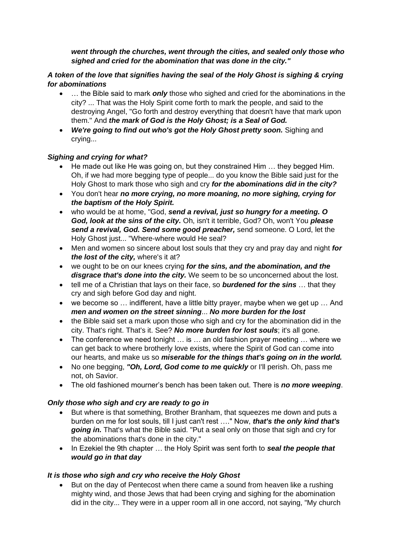### *went through the churches, went through the cities, and sealed only those who sighed and cried for the abomination that was done in the city."*

### *A token of the love that signifies having the seal of the Holy Ghost is sighing & crying for abominations*

- ... the Bible said to mark **only** those who sighed and cried for the abominations in the city? ... That was the Holy Spirit come forth to mark the people, and said to the destroying Angel, "Go forth and destroy everything that doesn't have that mark upon them." And *the mark of God is the Holy Ghost; is a Seal of God.*
- *We're going to find out who's got the Holy Ghost pretty soon.* Sighing and crying...

### *Sighing and crying for what?*

- He made out like He was going on, but they constrained Him … they begged Him. Oh, if we had more begging type of people... do you know the Bible said just for the Holy Ghost to mark those who sigh and cry *for the abominations did in the city?*
- You don't hear *no more crying, no more moaning, no more sighing, crying for the baptism of the Holy Spirit.*
- who would be at home, "God, *send a revival, just so hungry for a meeting. O God, look at the sins of the city.* Oh, isn't it terrible, God? Oh, won't You *please send a revival, God. Send some good preacher,* send someone. O Lord, let the Holy Ghost just... "Where-where would He seal?
- Men and women so sincere about lost souls that they cry and pray day and night *for the lost of the city,* where's it at?
- we ought to be on our knees crying *for the sins, and the abomination, and the disgrace that's done into the city.* We seem to be so unconcerned about the lost.
- tell me of a Christian that lays on their face, so *burdened for the sins* … that they cry and sigh before God day and night.
- we become so … indifferent, have a little bitty prayer, maybe when we get up … And *men and women on the street sinning*... *No more burden for the lost*
- the Bible said set a mark upon those who sigh and cry for the abomination did in the city. That's right. That's it. See? *No more burden for lost souls*; it's all gone.
- The conference we need tonight … is … an old fashion prayer meeting … where we can get back to where brotherly love exists, where the Spirit of God can come into our hearts, and make us so *miserable for the things that's going on in the world.*
- No one begging, *"Oh, Lord, God come to me quickly* or I'll perish. Oh, pass me not, oh Savior.
- The old fashioned mourner's bench has been taken out. There is *no more weeping*.

### *Only those who sigh and cry are ready to go in*

- But where is that something, Brother Branham, that squeezes me down and puts a burden on me for lost souls, till I just can't rest …." Now, *that's the only kind that's going in.* That's what the Bible said. "Put a seal only on those that sigh and cry for the abominations that's done in the city."
- In Ezekiel the 9th chapter … the Holy Spirit was sent forth to *seal the people that would go in that day*

### *It is those who sigh and cry who receive the Holy Ghost*

• But on the day of Pentecost when there came a sound from heaven like a rushing mighty wind, and those Jews that had been crying and sighing for the abomination did in the city... They were in a upper room all in one accord, not saying, "My church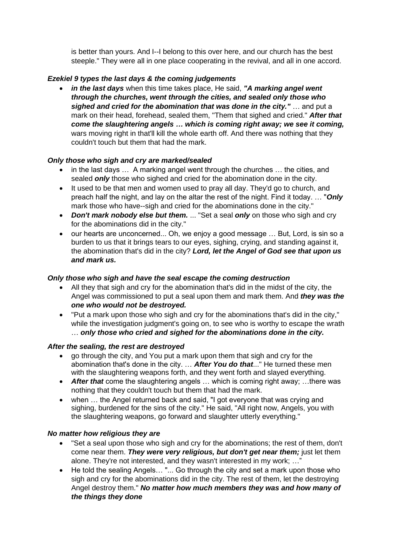is better than yours. And I--I belong to this over here, and our church has the best steeple." They were all in one place cooperating in the revival, and all in one accord.

### *Ezekiel 9 types the last days & the coming judgements*

• *in the last days* when this time takes place, He said, *"A marking angel went through the churches, went through the cities, and sealed only those who sighed and cried for the abomination that was done in the city."* … and put a mark on their head, forehead, sealed them, "Them that sighed and cried." *After that come the slaughtering angels … which is coming right away; we see it coming,* wars moving right in that'll kill the whole earth off. And there was nothing that they couldn't touch but them that had the mark.

### *Only those who sigh and cry are marked/sealed*

- in the last days … A marking angel went through the churches … the cities, and sealed *only* those who sighed and cried for the abomination done in the city.
- It used to be that men and women used to pray all day. They'd go to church, and preach half the night, and lay on the altar the rest of the night. Find it today. … "*Only* mark those who have--sigh and cried for the abominations done in the city."
- *Don't mark nobody else but them.* ... "Set a seal *only* on those who sigh and cry for the abominations did in the city."
- our hearts are unconcerned... Oh, we enjoy a good message … But, Lord, is sin so a burden to us that it brings tears to our eyes, sighing, crying, and standing against it, the abomination that's did in the city? *Lord, let the Angel of God see that upon us and mark us.*

### *Only those who sigh and have the seal escape the coming destruction*

- All they that sigh and cry for the abomination that's did in the midst of the city, the Angel was commissioned to put a seal upon them and mark them. And *they was the one who would not be destroyed.*
- "Put a mark upon those who sigh and cry for the abominations that's did in the city," while the investigation judgment's going on, to see who is worthy to escape the wrath … *only those who cried and sighed for the abominations done in the city.*

### *After the sealing, the rest are destroyed*

- go through the city, and You put a mark upon them that sigh and cry for the abomination that's done in the city. … *After You do that*..." He turned these men with the slaughtering weapons forth, and they went forth and slayed everything.
- *After that* come the slaughtering angels … which is coming right away; …there was nothing that they couldn't touch but them that had the mark.
- when … the Angel returned back and said, "I got everyone that was crying and sighing, burdened for the sins of the city." He said, "All right now, Angels, you with the slaughtering weapons, go forward and slaughter utterly everything."

### *No matter how religious they are*

- "Set a seal upon those who sigh and cry for the abominations; the rest of them, don't come near them. *They were very religious, but don't get near them;* just let them alone. They're not interested, and they wasn't interested in my work; …"
- He told the sealing Angels... "... Go through the city and set a mark upon those who sigh and cry for the abominations did in the city. The rest of them, let the destroying Angel destroy them." *No matter how much members they was and how many of the things they done*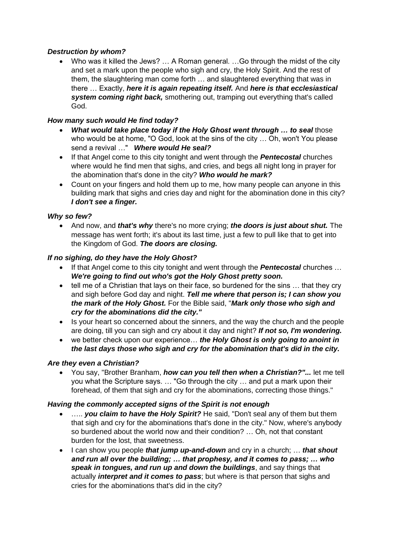### *Destruction by whom?*

• Who was it killed the Jews? … A Roman general. …Go through the midst of the city and set a mark upon the people who sigh and cry, the Holy Spirit. And the rest of them, the slaughtering man come forth … and slaughtered everything that was in there … Exactly, *here it is again repeating itself.* And *here is that ecclesiastical system coming right back,* smothering out, tramping out everything that's called God.

### *How many such would He find today?*

- *What would take place today if the Holy Ghost went through … to seal* those who would be at home, "O God, look at the sins of the city … Oh, won't You please send a revival …" *Where would He seal?*
- If that Angel come to this city tonight and went through the *Pentecostal* churches where would he find men that sighs, and cries, and begs all night long in prayer for the abomination that's done in the city? *Who would he mark?*
- Count on your fingers and hold them up to me, how many people can anyone in this building mark that sighs and cries day and night for the abomination done in this city? *I don't see a finger.*

### *Why so few?*

• And now, and *that's why* there's no more crying; *the doors is just about shut.* The message has went forth; it's about its last time, just a few to pull like that to get into the Kingdom of God. *The doors are closing.*

### *If no sighing, do they have the Holy Ghost?*

- If that Angel come to this city tonight and went through the *Pentecostal* churches … *We're going to find out who's got the Holy Ghost pretty soon.*
- tell me of a Christian that lays on their face, so burdened for the sins … that they cry and sigh before God day and night. *Tell me where that person is; I can show you the mark of the Holy Ghost.* For the Bible said, "*Mark only those who sigh and cry for the abominations did the city."*
- Is your heart so concerned about the sinners, and the way the church and the people are doing, till you can sigh and cry about it day and night? *If not so, I'm wondering.*
- we better check upon our experience… *the Holy Ghost is only going to anoint in the last days those who sigh and cry for the abomination that's did in the city.*

### *Are they even a Christian?*

• You say, "Brother Branham, *how can you tell then when a Christian?"...* let me tell you what the Scripture says. … "Go through the city … and put a mark upon their forehead, of them that sigh and cry for the abominations, correcting those things."

#### *Having the commonly accepted signs of the Spirit is not enough*

- ….. *you claim to have the Holy Spirit?* He said, "Don't seal any of them but them that sigh and cry for the abominations that's done in the city." Now, where's anybody so burdened about the world now and their condition? … Oh, not that constant burden for the lost, that sweetness.
- I can show you people *that jump up-and-down* and cry in a church; … *that shout and run all over the building; … that prophesy, and it comes to pass; … who speak in tongues, and run up and down the buildings*, and say things that actually *interpret and it comes to pass*; but where is that person that sighs and cries for the abominations that's did in the city?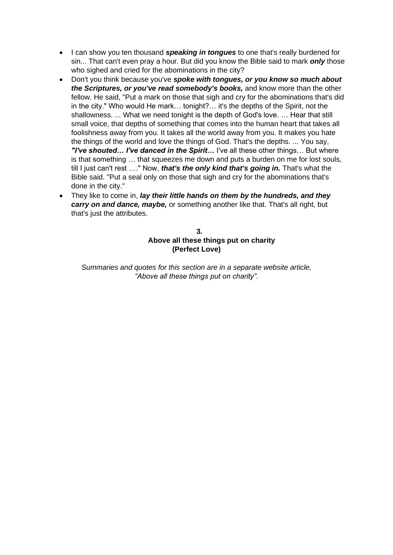- I can show you ten thousand *speaking in tongues* to one that's really burdened for sin... That can't even pray a hour. But did you know the Bible said to mark *only* those who sighed and cried for the abominations in the city?
- Don't you think because you've *spoke with tongues, or you know so much about the Scriptures, or you've read somebody's books,* and know more than the other fellow. He said, "Put a mark on those that sigh and cry for the abominations that's did in the city." Who would He mark… tonight?… it's the depths of the Spirit, not the shallowness. ... What we need tonight is the depth of God's love. … Hear that still small voice, that depths of something that comes into the human heart that takes all foolishness away from you. It takes all the world away from you. It makes you hate the things of the world and love the things of God. That's the depths. ... You say, *"I've shouted… I've danced in the Spirit…* I've all these other things… But where is that something … that squeezes me down and puts a burden on me for lost souls, till I just can't rest …." Now, *that's the only kind that's going in.* That's what the Bible said. "Put a seal only on those that sigh and cry for the abominations that's done in the city."
- They like to come in, *lay their little hands on them by the hundreds, and they carry on and dance, maybe,* or something another like that. That's all right, but that's just the attributes.

### **3. Above all these things put on charity (Perfect Love)**

*Summaries and quotes for this section are in a separate website article, "Above all these things put on charity".*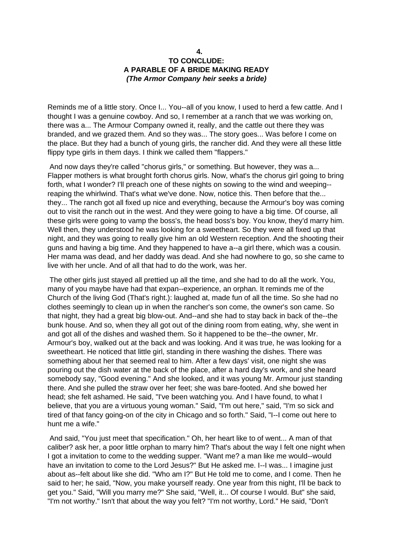#### **4. TO CONCLUDE: A PARABLE OF A BRIDE MAKING READY** *(The Armor Company heir seeks a bride)*

Reminds me of a little story. Once I... You--all of you know, I used to herd a few cattle. And I thought I was a genuine cowboy. And so, I remember at a ranch that we was working on, there was a... The Armour Company owned it, really, and the cattle out there they was branded, and we grazed them. And so they was... The story goes... Was before I come on the place. But they had a bunch of young girls, the rancher did. And they were all these little flippy type girls in them days. I think we called them "flappers."

And now days they're called "chorus girls," or something. But however, they was a... Flapper mothers is what brought forth chorus girls. Now, what's the chorus girl going to bring forth, what I wonder? I'll preach one of these nights on sowing to the wind and weeping- reaping the whirlwind. That's what we've done. Now, notice this. Then before that the... they... The ranch got all fixed up nice and everything, because the Armour's boy was coming out to visit the ranch out in the west. And they were going to have a big time. Of course, all these girls were going to vamp the boss's, the head boss's boy. You know, they'd marry him. Well then, they understood he was looking for a sweetheart. So they were all fixed up that night, and they was going to really give him an old Western reception. And the shooting their guns and having a big time. And they happened to have a--a girl there, which was a cousin. Her mama was dead, and her daddy was dead. And she had nowhere to go, so she came to live with her uncle. And of all that had to do the work, was her.

The other girls just stayed all prettied up all the time, and she had to do all the work. You, many of you maybe have had that expan--experience, an orphan. It reminds me of the Church of the living God (That's right.): laughed at, made fun of all the time. So she had no clothes seemingly to clean up in when the rancher's son come, the owner's son came. So that night, they had a great big blow-out. And--and she had to stay back in back of the--the bunk house. And so, when they all got out of the dining room from eating, why, she went in and got all of the dishes and washed them. So it happened to be the--the owner, Mr. Armour's boy, walked out at the back and was looking. And it was true, he was looking for a sweetheart. He noticed that little girl, standing in there washing the dishes. There was something about her that seemed real to him. After a few days' visit, one night she was pouring out the dish water at the back of the place, after a hard day's work, and she heard somebody say, "Good evening." And she looked, and it was young Mr. Armour just standing there. And she pulled the straw over her feet; she was bare-footed. And she bowed her head; she felt ashamed. He said, "I've been watching you. And I have found, to what I believe, that you are a virtuous young woman." Said, "I'm out here," said, "I'm so sick and tired of that fancy going-on of the city in Chicago and so forth." Said, "I--I come out here to hunt me a wife."

And said, "You just meet that specification." Oh, her heart like to of went... A man of that caliber? ask her, a poor little orphan to marry him? That's about the way I felt one night when I got a invitation to come to the wedding supper. "Want me? a man like me would--would have an invitation to come to the Lord Jesus?" But He asked me. I--I was... I imagine just about as--felt about like she did. "Who am I?" But He told me to come, and I come. Then he said to her; he said, "Now, you make yourself ready. One year from this night, I'll be back to get you." Said, "Will you marry me?" She said, "Well, it... Of course I would. But" she said, "I'm not worthy." Isn't that about the way you felt? "I'm not worthy, Lord." He said, "Don't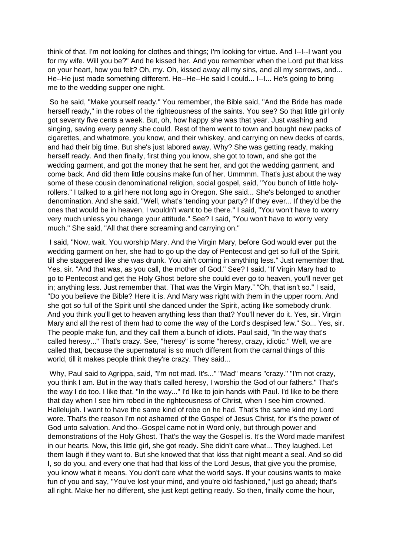think of that. I'm not looking for clothes and things; I'm looking for virtue. And I--I--I want you for my wife. Will you be?" And he kissed her. And you remember when the Lord put that kiss on your heart, how you felt? Oh, my. Oh, kissed away all my sins, and all my sorrows, and... He--He just made something different. He--He--He said I could... I--I... He's going to bring me to the wedding supper one night.

So he said, "Make yourself ready." You remember, the Bible said, "And the Bride has made herself ready," in the robes of the righteousness of the saints. You see? So that little girl only got seventy five cents a week. But, oh, how happy she was that year. Just washing and singing, saving every penny she could. Rest of them went to town and bought new packs of cigarettes, and whatmore, you know, and their whiskey, and carrying on new decks of cards, and had their big time. But she's just labored away. Why? She was getting ready, making herself ready. And then finally, first thing you know, she got to town, and she got the wedding garment, and got the money that he sent her, and got the wedding garment, and come back. And did them little cousins make fun of her. Ummmm. That's just about the way some of these cousin denominational religion, social gospel, said, "You bunch of little holyrollers." I talked to a girl here not long ago in Oregon. She said... She's belonged to another denomination. And she said, "Well, what's 'tending your party? If they ever... If they'd be the ones that would be in heaven, I wouldn't want to be there." I said, "You won't have to worry very much unless you change your attitude." See? I said, "You won't have to worry very much." She said, "All that there screaming and carrying on."

I said, "Now, wait. You worship Mary. And the Virgin Mary, before God would ever put the wedding garment on her, she had to go up the day of Pentecost and get so full of the Spirit, till she staggered like she was drunk. You ain't coming in anything less." Just remember that. Yes, sir. "And that was, as you call, the mother of God." See? I said, "If Virgin Mary had to go to Pentecost and get the Holy Ghost before she could ever go to heaven, you'll never get in; anything less. Just remember that. That was the Virgin Mary." "Oh, that isn't so." I said, "Do you believe the Bible? Here it is. And Mary was right with them in the upper room. And she got so full of the Spirit until she danced under the Spirit, acting like somebody drunk. And you think you'll get to heaven anything less than that? You'll never do it. Yes, sir. Virgin Mary and all the rest of them had to come the way of the Lord's despised few." So... Yes, sir. The people make fun, and they call them a bunch of idiots. Paul said, "In the way that's called heresy..." That's crazy. See, "heresy" is some "heresy, crazy, idiotic." Well, we are called that, because the supernatural is so much different from the carnal things of this world, till it makes people think they're crazy. They said...

Why, Paul said to Agrippa, said, "I'm not mad. It's..." "Mad" means "crazy." "I'm not crazy, you think I am. But in the way that's called heresy, I worship the God of our fathers." That's the way I do too. I like that. "In the way..." I'd like to join hands with Paul. I'd like to be there that day when I see him robed in the righteousness of Christ, when I see him crowned. Hallelujah. I want to have the same kind of robe on he had. That's the same kind my Lord wore. That's the reason I'm not ashamed of the Gospel of Jesus Christ, for it's the power of God unto salvation. And tho--Gospel came not in Word only, but through power and demonstrations of the Holy Ghost. That's the way the Gospel is. It's the Word made manifest in our hearts. Now, this little girl, she got ready. She didn't care what... They laughed. Let them laugh if they want to. But she knowed that that kiss that night meant a seal. And so did I, so do you, and every one that had that kiss of the Lord Jesus, that give you the promise, you know what it means. You don't care what the world says. If your cousins wants to make fun of you and say, "You've lost your mind, and you're old fashioned," just go ahead; that's all right. Make her no different, she just kept getting ready. So then, finally come the hour,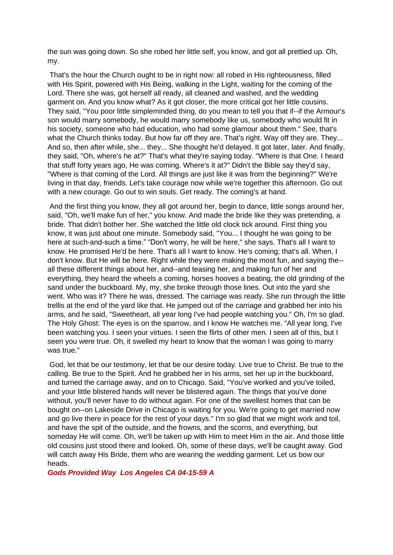the sun was going down. So she robed her little self, you know, and got all prettied up. Oh, my.

That's the hour the Church ought to be in right now: all robed in His righteousness, filled with His Spirit, powered with His Being, walking in the Light, waiting for the coming of the Lord. There she was, got herself all ready, all cleaned and washed, and the wedding garment on. And you know what? As it got closer, the more critical got her little cousins. They said, "You poor little simpleminded thing, do you mean to tell you that if--if the Armour's son would marry somebody, he would marry somebody like us, somebody who would fit in his society, someone who had education, who had some glamour about them." See, that's what the Church thinks today. But how far off they are. That's right. Way off they are. They... And so, then after while, she... they... She thought he'd delayed. It got later, later. And finally, they said, "Oh, where's he at?" That's what they're saying today. "Where is that One. I heard that stuff forty years ago, He was coming. Where's it at?" Didn't the Bible say they'd say, "Where is that coming of the Lord. All things are just like it was from the beginning?" We're living in that day, friends. Let's take courage now while we're together this afternoon. Go out with a new courage. Go out to win souls. Get ready. The coming's at hand.

And the first thing you know, they all got around her, begin to dance, little songs around her, said, "Oh, we'll make fun of her," you know. And made the bride like they was pretending, a bride. That didn't bother her. She watched the little old clock tick around. First thing you know, it was just about one minute. Somebody said, "You... I thought he was going to be here at such-and-such a time." "Don't worry, he will be here," she says. That's all I want to know. He promised He'd be here. That's all I want to know. He's coming; that's all. When, I don't know. But He will be here. Right while they were making the most fun, and saying the- all these different things about her, and--and teasing her, and making fun of her and everything, they heard the wheels a coming, horses hooves a beating, the old grinding of the sand under the buckboard. My, my, she broke through those lines. Out into the yard she went. Who was it? There he was, dressed. The carriage was ready. She run through the little trellis at the end of the yard like that. He jumped out of the carriage and grabbed her into his arms, and he said, "Sweetheart, all year long I've had people watching you." Oh, I'm so glad. The Holy Ghost: The eyes is on the sparrow, and I know He watches me. "All year long, I've been watching you. I seen your virtues. I seen the flirts of other men. I seen all of this, but I seen you were true. Oh, it swelled my heart to know that the woman I was going to marry was true."

God, let that be our testimony, let that be our desire today. Live true to Christ. Be true to the calling. Be true to the Spirit. And he grabbed her in his arms, set her up in the buckboard, and turned the carriage away, and on to Chicago. Said, "You've worked and you've toiled, and your little blistered hands will never be blistered again. The things that you've done without, you'll never have to do without again. For one of the swellest homes that can be bought on--on Lakeside Drive in Chicago is waiting for you. We're going to get married now and go live there in peace for the rest of your days." I'm so glad that we might work and toil, and have the spit of the outside, and the frowns, and the scorns, and everything, but someday He will come. Oh, we'll be taken up with Him to meet Him in the air. And those little old cousins just stood there and looked. Oh, some of these days, we'll be caught away. God will catch away His Bride, them who are wearing the wedding garment. Let us bow our heads.

*Gods Provided Way Los Angeles CA 04-15-59 A*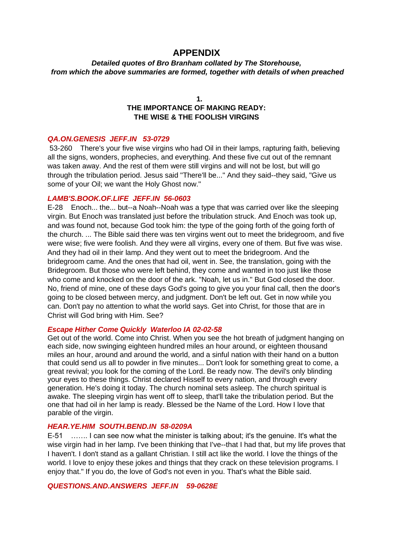### **APPENDIX**

*Detailed quotes of Bro Branham collated by The Storehouse, from which the above summaries are formed, together with details of when preached*

#### **1.**

### **THE IMPORTANCE OF MAKING READY: THE WISE & THE FOOLISH VIRGINS**

#### *QA.ON.GENESIS JEFF.IN 53-0729*

53-260 There's your five wise virgins who had Oil in their lamps, rapturing faith, believing all the signs, wonders, prophecies, and everything. And these five cut out of the remnant was taken away. And the rest of them were still virgins and will not be lost, but will go through the tribulation period. Jesus said "There'll be..." And they said--they said, "Give us some of your Oil; we want the Holy Ghost now."

#### *LAMB'S.BOOK.OF.LIFE JEFF.IN 56-0603*

E-28 Enoch... the... but--a Noah--Noah was a type that was carried over like the sleeping virgin. But Enoch was translated just before the tribulation struck. And Enoch was took up, and was found not, because God took him: the type of the going forth of the going forth of the church. ... The Bible said there was ten virgins went out to meet the bridegroom, and five were wise; five were foolish. And they were all virgins, every one of them. But five was wise. And they had oil in their lamp. And they went out to meet the bridegroom. And the bridegroom came. And the ones that had oil, went in. See, the translation, going with the Bridegroom. But those who were left behind, they come and wanted in too just like those who come and knocked on the door of the ark. "Noah, let us in." But God closed the door. No, friend of mine, one of these days God's going to give you your final call, then the door's going to be closed between mercy, and judgment. Don't be left out. Get in now while you can. Don't pay no attention to what the world says. Get into Christ, for those that are in Christ will God bring with Him. See?

#### *Escape Hither Come Quickly Waterloo IA 02-02-58*

Get out of the world. Come into Christ. When you see the hot breath of judgment hanging on each side, now swinging eighteen hundred miles an hour around, or eighteen thousand miles an hour, around and around the world, and a sinful nation with their hand on a button that could send us all to powder in five minutes... Don't look for something great to come, a great revival; you look for the coming of the Lord. Be ready now. The devil's only blinding your eyes to these things. Christ declared Hisself to every nation, and through every generation. He's doing it today. The church nominal sets asleep. The church spiritual is awake. The sleeping virgin has went off to sleep, that'll take the tribulation period. But the one that had oil in her lamp is ready. Blessed be the Name of the Lord. How I love that parable of the virgin.

#### *HEAR.YE.HIM SOUTH.BEND.IN 58-0209A*

E-51 ……. I can see now what the minister is talking about; it's the genuine. It's what the wise virgin had in her lamp. I've been thinking that I've--that I had that, but my life proves that I haven't. I don't stand as a gallant Christian. I still act like the world. I love the things of the world. I love to enjoy these jokes and things that they crack on these television programs. I enjoy that." If you do, the love of God's not even in you. That's what the Bible said.

*QUESTIONS.AND.ANSWERS JEFF.IN 59-0628E*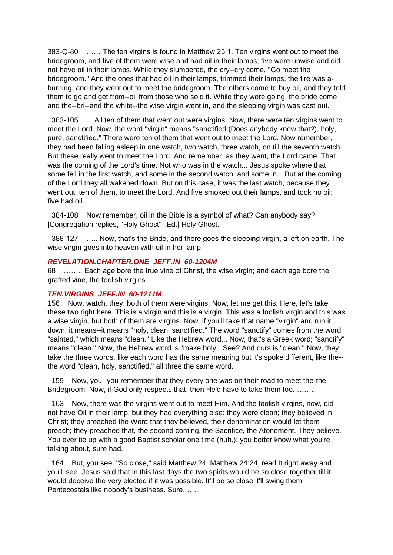383-Q-80 …… The ten virgins is found in Matthew 25:1. Ten virgins went out to meet the bridegroom, and five of them were wise and had oil in their lamps; five were unwise and did not have oil in their lamps. While they slumbered, the cry--cry come, "Go meet the bridegroom." And the ones that had oil in their lamps, trimmed their lamps, the fire was aburning, and they went out to meet the bridegroom. The others come to buy oil, and they told them to go and get from--oil from those who sold it. While they were going, the bride come and the--bri--and the white--the wise virgin went in, and the sleeping virgin was cast out.

 383-105 ... All ten of them that went out were virgins. Now, there were ten virgins went to meet the Lord. Now, the word "virgin" means "sanctified (Does anybody know that?), holy, pure, sanctified." There were ten of them that went out to meet the Lord. Now remember, they had been falling asleep in one watch, two watch, three watch, on till the seventh watch. But these really went to meet the Lord. And remember, as they went, the Lord came. That was the coming of the Lord's time. Not who was in the watch... Jesus spoke where that some fell in the first watch, and some in the second watch, and some in... But at the coming of the Lord they all wakened down. But on this case, it was the last watch, because they went out, ten of them, to meet the Lord. And five smoked out their lamps, and took no oil; five had oil.

 384-108 Now remember, oil in the Bible is a symbol of what? Can anybody say? [Congregation replies, "Holy Ghost"--Ed.] Holy Ghost.

 388-127 ….. Now, that's the Bride, and there goes the sleeping virgin, a left on earth. The wise virgin goes into heaven with oil in her lamp.

#### *REVELATION.CHAPTER.ONE JEFF.IN 60-1204M*

68 …….. Each age bore the true vine of Christ, the wise virgin; and each age bore the grafted vine, the foolish virgins.

#### *TEN.VIRGINS JEFF.IN 60-1211M*

156 Now, watch, they, both of them were virgins. Now, let me get this. Here, let's take these two right here. This is a virgin and this is a virgin. This was a foolish virgin and this was a wise virgin, but both of them are virgins. Now, if you'll take that name "virgin" and run it down, it means--it means "holy, clean, sanctified." The word "sanctify" comes from the word "sainted," which means "clean." Like the Hebrew word... Now, that's a Greek word; "sanctify" means "clean." Now, the Hebrew word is "make holy." See? And ours is "clean." Now, they take the three words, like each word has the same meaning but it's spoke different, like the- the word "clean, holy, sanctified," all three the same word.

 159 Now, you--you remember that they every one was on their road to meet the-the Bridegroom. Now, if God only respects that, then He'd have to take them too. ……..

 163 Now, there was the virgins went out to meet Him. And the foolish virgins, now, did not have Oil in their lamp, but they had everything else: they were clean; they believed in Christ; they preached the Word that they believed, their denomination would let them preach; they preached that, the second coming, the Sacrifice, the Atonement. They believe. You ever tie up with a good Baptist scholar one time (huh.); you better know what you're talking about, sure had.

 164 But, you see, "So close," said Matthew 24, Matthew 24:24, read It right away and you'll see. Jesus said that in this last days the two spirits would be so close together till it would deceive the very elected if it was possible. It'll be so close it'll swing them Pentecostals like nobody's business. Sure. …..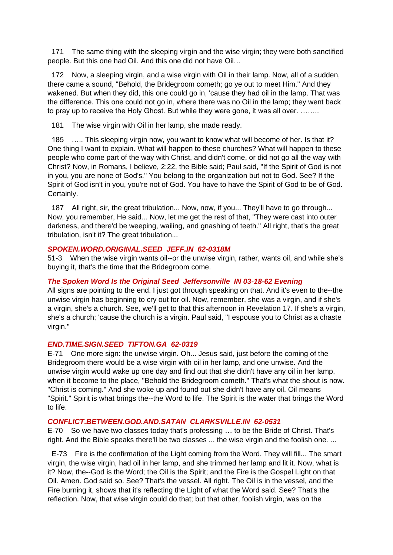171 The same thing with the sleeping virgin and the wise virgin; they were both sanctified people. But this one had Oil. And this one did not have Oil…

 172 Now, a sleeping virgin, and a wise virgin with Oil in their lamp. Now, all of a sudden, there came a sound, "Behold, the Bridegroom cometh; go ye out to meet Him." And they wakened. But when they did, this one could go in, 'cause they had oil in the lamp. That was the difference. This one could not go in, where there was no Oil in the lamp; they went back to pray up to receive the Holy Ghost. But while they were gone, it was all over. ……..

181 The wise virgin with Oil in her lamp, she made ready.

 185 ….. This sleeping virgin now, you want to know what will become of her. Is that it? One thing I want to explain. What will happen to these churches? What will happen to these people who come part of the way with Christ, and didn't come, or did not go all the way with Christ? Now, in Romans, I believe, 2:22, the Bible said; Paul said, "If the Spirit of God is not in you, you are none of God's." You belong to the organization but not to God. See? If the Spirit of God isn't in you, you're not of God. You have to have the Spirit of God to be of God. Certainly.

187 All right, sir, the great tribulation... Now, now, if you... They'll have to go through... Now, you remember, He said... Now, let me get the rest of that, "They were cast into outer darkness, and there'd be weeping, wailing, and gnashing of teeth." All right, that's the great tribulation, isn't it? The great tribulation...

#### *SPOKEN.WORD.ORIGINAL.SEED JEFF.IN 62-0318M*

51-3 When the wise virgin wants oil--or the unwise virgin, rather, wants oil, and while she's buying it, that's the time that the Bridegroom come.

#### *The Spoken Word Is the Original Seed Jeffersonville IN 03-18-62 Evening*

All signs are pointing to the end. I just got through speaking on that. And it's even to the--the unwise virgin has beginning to cry out for oil. Now, remember, she was a virgin, and if she's a virgin, she's a church. See, we'll get to that this afternoon in Revelation 17. If she's a virgin, she's a church; 'cause the church is a virgin. Paul said, "I espouse you to Christ as a chaste virgin."

#### *END.TIME.SIGN.SEED TIFTON.GA 62-0319*

E-71 One more sign: the unwise virgin. Oh... Jesus said, just before the coming of the Bridegroom there would be a wise virgin with oil in her lamp, and one unwise. And the unwise virgin would wake up one day and find out that she didn't have any oil in her lamp, when it become to the place, "Behold the Bridegroom cometh." That's what the shout is now. "Christ is coming." And she woke up and found out she didn't have any oil. Oil means "Spirit." Spirit is what brings the--the Word to life. The Spirit is the water that brings the Word to life.

#### *CONFLICT.BETWEEN.GOD.AND.SATAN CLARKSVILLE.IN 62-0531*

E-70 So we have two classes today that's professing … to be the Bride of Christ. That's right. And the Bible speaks there'll be two classes ... the wise virgin and the foolish one. ...

 E-73 Fire is the confirmation of the Light coming from the Word. They will fill... The smart virgin, the wise virgin, had oil in her lamp, and she trimmed her lamp and lit it. Now, what is it? Now, the--God is the Word; the Oil is the Spirit; and the Fire is the Gospel Light on that Oil. Amen. God said so. See? That's the vessel. All right. The Oil is in the vessel, and the Fire burning it, shows that it's reflecting the Light of what the Word said. See? That's the reflection. Now, that wise virgin could do that; but that other, foolish virgin, was on the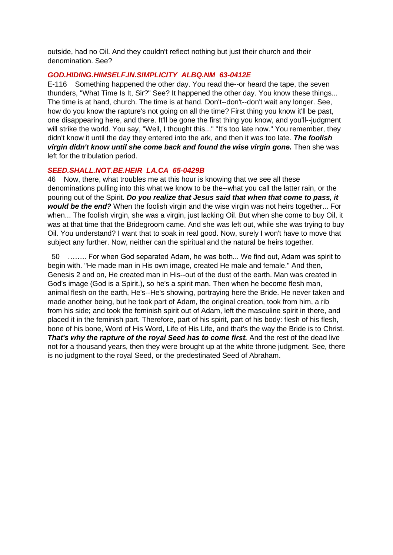outside, had no Oil. And they couldn't reflect nothing but just their church and their denomination. See?

#### *GOD.HIDING.HIMSELF.IN.SIMPLICITY ALBQ.NM 63-0412E*

E-116 Something happened the other day. You read the--or heard the tape, the seven thunders, "What Time Is It, Sir?" See? It happened the other day. You know these things... The time is at hand, church. The time is at hand. Don't--don't--don't wait any longer. See, how do you know the rapture's not going on all the time? First thing you know it'll be past, one disappearing here, and there. It'll be gone the first thing you know, and you'll--judgment will strike the world. You say, "Well, I thought this..." "It's too late now." You remember, they didn't know it until the day they entered into the ark, and then it was too late. *The foolish virgin didn't know until she come back and found the wise virgin gone.* Then she was left for the tribulation period.

#### *SEED.SHALL.NOT.BE.HEIR LA.CA 65-0429B*

46 Now, there, what troubles me at this hour is knowing that we see all these denominations pulling into this what we know to be the--what you call the latter rain, or the pouring out of the Spirit. *Do you realize that Jesus said that when that come to pass, it would be the end?* When the foolish virgin and the wise virgin was not heirs together... For when... The foolish virgin, she was a virgin, just lacking Oil. But when she come to buy Oil, it was at that time that the Bridegroom came. And she was left out, while she was trying to buy Oil. You understand? I want that to soak in real good. Now, surely I won't have to move that subject any further. Now, neither can the spiritual and the natural be heirs together.

 50 …….. For when God separated Adam, he was both... We find out, Adam was spirit to begin with. "He made man in His own image, created He male and female." And then, Genesis 2 and on, He created man in His--out of the dust of the earth. Man was created in God's image (God is a Spirit.), so he's a spirit man. Then when he become flesh man, animal flesh on the earth, He's--He's showing, portraying here the Bride. He never taken and made another being, but he took part of Adam, the original creation, took from him, a rib from his side; and took the feminish spirit out of Adam, left the masculine spirit in there, and placed it in the feminish part. Therefore, part of his spirit, part of his body: flesh of his flesh, bone of his bone, Word of His Word, Life of His Life, and that's the way the Bride is to Christ. **That's why the rapture of the royal Seed has to come first.** And the rest of the dead live not for a thousand years, then they were brought up at the white throne judgment. See, there is no judgment to the royal Seed, or the predestinated Seed of Abraham.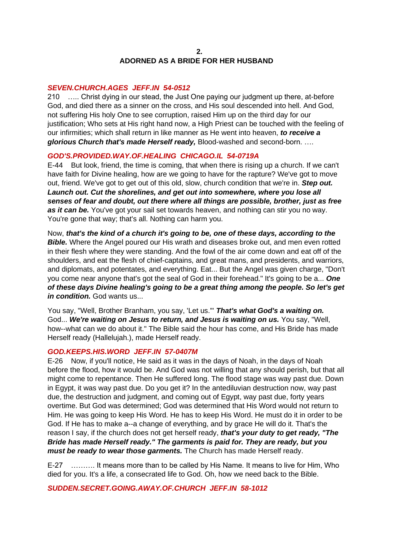#### **2. ADORNED AS A BRIDE FOR HER HUSBAND**

#### *SEVEN.CHURCH.AGES JEFF.IN 54-0512*

210 ….. Christ dying in our stead, the Just One paying our judgment up there, at-before God, and died there as a sinner on the cross, and His soul descended into hell. And God, not suffering His holy One to see corruption, raised Him up on the third day for our justification; Who sets at His right hand now, a High Priest can be touched with the feeling of our infirmities; which shall return in like manner as He went into heaven, *to receive a glorious Church that's made Herself ready,* Blood-washed and second-born. ….

#### *GOD'S.PROVIDED.WAY.OF.HEALING CHICAGO.IL 54-0719A*

E-44 But look, friend, the time is coming, that when there is rising up a church. If we can't have faith for Divine healing, how are we going to have for the rapture? We've got to move out, friend. We've got to get out of this old, slow, church condition that we're in. *Step out.*  Launch out. Cut the shorelines, and get out into somewhere, where you lose all *senses of fear and doubt, out there where all things are possible, brother, just as free*  as it can be. You've got your sail set towards heaven, and nothing can stir you no way. You're gone that way; that's all. Nothing can harm you.

Now, *that's the kind of a church it's going to be, one of these days, according to the*  **Bible.** Where the Angel poured our His wrath and diseases broke out, and men even rotted in their flesh where they were standing. And the fowl of the air come down and eat off of the shoulders, and eat the flesh of chief-captains, and great mans, and presidents, and warriors, and diplomats, and potentates, and everything. Eat... But the Angel was given charge, "Don't you come near anyone that's got the seal of God in their forehead." It's going to be a... *One of these days Divine healing's going to be a great thing among the people. So let's get in condition.* God wants us...

You say, "Well, Brother Branham, you say, 'Let us.'" *That's what God's a waiting on.* God... *We're waiting on Jesus to return, and Jesus is waiting on us.* You say, "Well, how--what can we do about it." The Bible said the hour has come, and His Bride has made Herself ready (Hallelujah.), made Herself ready.

#### *GOD.KEEPS.HIS.WORD JEFF.IN 57-0407M*

E-26 Now, if you'll notice, He said as it was in the days of Noah, in the days of Noah before the flood, how it would be. And God was not willing that any should perish, but that all might come to repentance. Then He suffered long. The flood stage was way past due. Down in Egypt, it was way past due. Do you get it? In the antediluvian destruction now, way past due, the destruction and judgment, and coming out of Egypt, way past due, forty years overtime. But God was determined; God was determined that His Word would not return to Him. He was going to keep His Word. He has to keep His Word. He must do it in order to be God. If He has to make a--a change of everything, and by grace He will do it. That's the reason I say, if the church does not get herself ready, *that's your duty to get ready, "The Bride has made Herself ready." The garments is paid for. They are ready, but you must be ready to wear those garments.* The Church has made Herself ready.

E-27 ………. It means more than to be called by His Name. It means to live for Him, Who died for you. It's a life, a consecrated life to God. Oh, how we need back to the Bible.

*SUDDEN.SECRET.GOING.AWAY.OF.CHURCH JEFF.IN 58-1012*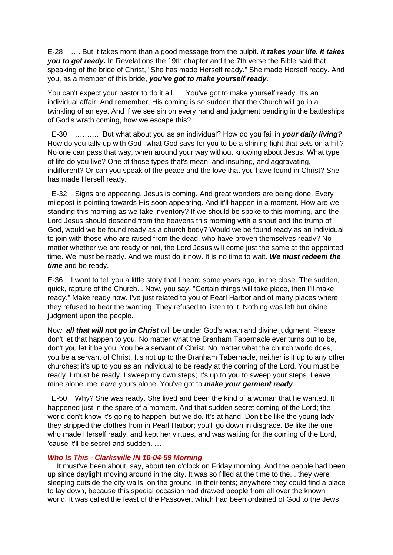E-28 …. But it takes more than a good message from the pulpit. *It takes your life. It takes you to get ready***.** In Revelations the 19th chapter and the 7th verse the Bible said that, speaking of the bride of Christ, "She has made Herself ready." She made Herself ready. And you, as a member of this bride, *you've got to make yourself ready.*

You can't expect your pastor to do it all. … You've got to make yourself ready. It's an individual affair. And remember, His coming is so sudden that the Church will go in a twinkling of an eye. And if we see sin on every hand and judgment pending in the battleships of God's wrath coming, how we escape this?

 E-30 ………. But what about you as an individual? How do you fail in *your daily living?* How do you tally up with God--what God says for you to be a shining light that sets on a hill? No one can pass that way, when around your way without knowing about Jesus. What type of life do you live? One of those types that's mean, and insulting, and aggravating, indifferent? Or can you speak of the peace and the love that you have found in Christ? She has made Herself ready.

 E-32 Signs are appearing. Jesus is coming. And great wonders are being done. Every milepost is pointing towards His soon appearing. And it'll happen in a moment. How are we standing this morning as we take inventory? If we should be spoke to this morning, and the Lord Jesus should descend from the heavens this morning with a shout and the trump of God, would we be found ready as a church body? Would we be found ready as an individual to join with those who are raised from the dead, who have proven themselves ready? No matter whether we are ready or not, the Lord Jesus will come just the same at the appointed time. We must be ready. And we must do it now. It is no time to wait. *We must redeem the time* and be ready.

E-36 I want to tell you a little story that I heard some years ago, in the close. The sudden, quick, rapture of the Church... Now, you say, "Certain things will take place, then I'll make ready." Make ready now. I've just related to you of Pearl Harbor and of many places where they refused to hear the warning. They refused to listen to it. Nothing was left but divine judgment upon the people.

Now, *all that will not go in Christ* will be under God's wrath and divine judgment. Please don't let that happen to you. No matter what the Branham Tabernacle ever turns out to be, don't you let it be you. You be a servant of Christ. No matter what the church world does, you be a servant of Christ. It's not up to the Branham Tabernacle, neither is it up to any other churches; it's up to you as an individual to be ready at the coming of the Lord. You must be ready. I must be ready. I sweep my own steps; it's up to you to sweep your steps. Leave mine alone, me leave yours alone. You've got to *make your garment ready*. …..

 E-50 Why? She was ready. She lived and been the kind of a woman that he wanted. It happened just in the spare of a moment. And that sudden secret coming of the Lord; the world don't know it's going to happen, but we do. It's at hand. Don't be like the young lady they stripped the clothes from in Pearl Harbor; you'll go down in disgrace. Be like the one who made Herself ready, and kept her virtues, and was waiting for the coming of the Lord, 'cause it'll be secret and sudden. …

#### *Who Is This - Clarksville IN 10-04-59 Morning*

… It must've been about, say, about ten o'clock on Friday morning. And the people had been up since daylight moving around in the city. It was so filled at the time to the... they were sleeping outside the city walls, on the ground, in their tents; anywhere they could find a place to lay down, because this special occasion had drawed people from all over the known world. It was called the feast of the Passover, which had been ordained of God to the Jews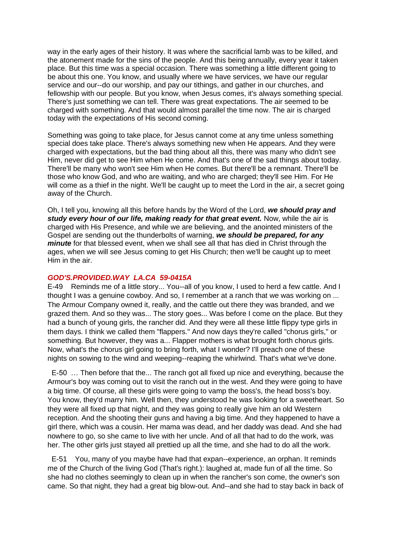way in the early ages of their history. It was where the sacrificial lamb was to be killed, and the atonement made for the sins of the people. And this being annually, every year it taken place. But this time was a special occasion. There was something a little different going to be about this one. You know, and usually where we have services, we have our regular service and our--do our worship, and pay our tithings, and gather in our churches, and fellowship with our people. But you know, when Jesus comes, it's always something special. There's just something we can tell. There was great expectations. The air seemed to be charged with something. And that would almost parallel the time now. The air is charged today with the expectations of His second coming.

Something was going to take place, for Jesus cannot come at any time unless something special does take place. There's always something new when He appears. And they were charged with expectations, but the bad thing about all this, there was many who didn't see Him, never did get to see Him when He come. And that's one of the sad things about today. There'll be many who won't see Him when He comes. But there'll be a remnant. There'll be those who know God, and who are waiting, and who are charged; they'll see Him. For He will come as a thief in the night. We'll be caught up to meet the Lord in the air, a secret going away of the Church.

Oh, I tell you, knowing all this before hands by the Word of the Lord, *we should pray and study every hour of our life, making ready for that great event.* Now, while the air is charged with His Presence, and while we are believing, and the anointed ministers of the Gospel are sending out the thunderbolts of warning, *we should be prepared, for any minute* for that blessed event, when we shall see all that has died in Christ through the ages, when we will see Jesus coming to get His Church; then we'll be caught up to meet Him in the air.

#### *GOD'S.PROVIDED.WAY LA.CA 59-0415A*

E-49 Reminds me of a little story... You--all of you know, I used to herd a few cattle. And I thought I was a genuine cowboy. And so, I remember at a ranch that we was working on ... The Armour Company owned it, really, and the cattle out there they was branded, and we grazed them. And so they was... The story goes... Was before I come on the place. But they had a bunch of young girls, the rancher did. And they were all these little flippy type girls in them days. I think we called them "flappers." And now days they're called "chorus girls," or something. But however, they was a... Flapper mothers is what brought forth chorus girls. Now, what's the chorus girl going to bring forth, what I wonder? I'll preach one of these nights on sowing to the wind and weeping--reaping the whirlwind. That's what we've done.

 E-50 … Then before that the... The ranch got all fixed up nice and everything, because the Armour's boy was coming out to visit the ranch out in the west. And they were going to have a big time. Of course, all these girls were going to vamp the boss's, the head boss's boy. You know, they'd marry him. Well then, they understood he was looking for a sweetheart. So they were all fixed up that night, and they was going to really give him an old Western reception. And the shooting their guns and having a big time. And they happened to have a girl there, which was a cousin. Her mama was dead, and her daddy was dead. And she had nowhere to go, so she came to live with her uncle. And of all that had to do the work, was her. The other girls just stayed all prettied up all the time, and she had to do all the work.

 E-51 You, many of you maybe have had that expan--experience, an orphan. It reminds me of the Church of the living God (That's right.): laughed at, made fun of all the time. So she had no clothes seemingly to clean up in when the rancher's son come, the owner's son came. So that night, they had a great big blow-out. And--and she had to stay back in back of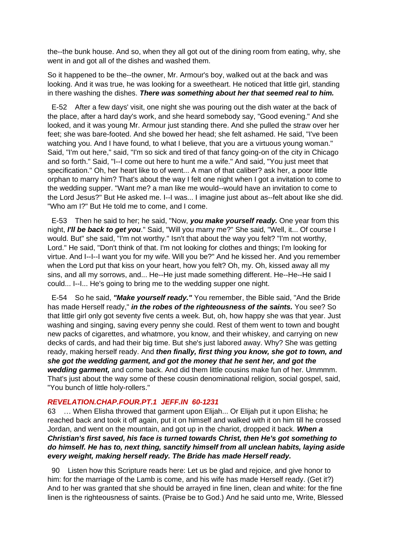the--the bunk house. And so, when they all got out of the dining room from eating, why, she went in and got all of the dishes and washed them.

So it happened to be the--the owner, Mr. Armour's boy, walked out at the back and was looking. And it was true, he was looking for a sweetheart. He noticed that little girl, standing in there washing the dishes. *There was something about her that seemed real to him.* 

 E-52 After a few days' visit, one night she was pouring out the dish water at the back of the place, after a hard day's work, and she heard somebody say, "Good evening." And she looked, and it was young Mr. Armour just standing there. And she pulled the straw over her feet; she was bare-footed. And she bowed her head; she felt ashamed. He said, "I've been watching you. And I have found, to what I believe, that you are a virtuous young woman." Said, "I'm out here," said, "I'm so sick and tired of that fancy going-on of the city in Chicago and so forth." Said, "I--I come out here to hunt me a wife." And said, "You just meet that specification." Oh, her heart like to of went... A man of that caliber? ask her, a poor little orphan to marry him? That's about the way I felt one night when I got a invitation to come to the wedding supper. "Want me? a man like me would--would have an invitation to come to the Lord Jesus?" But He asked me. I--I was... I imagine just about as--felt about like she did. "Who am I?" But He told me to come, and I come.

 E-53 Then he said to her; he said, "Now, *you make yourself ready.* One year from this night, *I'll be back to get you*." Said, "Will you marry me?" She said, "Well, it... Of course I would. But" she said, "I'm not worthy." Isn't that about the way you felt? "I'm not worthy, Lord." He said, "Don't think of that. I'm not looking for clothes and things; I'm looking for virtue. And I--I--I want you for my wife. Will you be?" And he kissed her. And you remember when the Lord put that kiss on your heart, how you felt? Oh, my. Oh, kissed away all my sins, and all my sorrows, and... He--He just made something different. He--He--He said I could... I--I... He's going to bring me to the wedding supper one night.

 E-54 So he said, *"Make yourself ready."* You remember, the Bible said, "And the Bride has made Herself ready," *in the robes of the righteousness of the saints.* You see? So that little girl only got seventy five cents a week. But, oh, how happy she was that year. Just washing and singing, saving every penny she could. Rest of them went to town and bought new packs of cigarettes, and whatmore, you know, and their whiskey, and carrying on new decks of cards, and had their big time. But she's just labored away. Why? She was getting ready, making herself ready. And *then finally, first thing you know, she got to town, and she got the wedding garment, and got the money that he sent her, and got the wedding garment,* and come back. And did them little cousins make fun of her. Ummmm. That's just about the way some of these cousin denominational religion, social gospel, said, "You bunch of little holy-rollers."

#### *REVELATION.CHAP.FOUR.PT.1 JEFF.IN 60-1231*

63 … When Elisha throwed that garment upon Elijah... Or Elijah put it upon Elisha; he reached back and took it off again, put it on himself and walked with it on him till he crossed Jordan, and went on the mountain, and got up in the chariot, dropped it back. *When a Christian's first saved, his face is turned towards Christ, then He's got something to do himself. He has to, next thing, sanctify himself from all unclean habits, laying aside every weight, making herself ready. The Bride has made Herself ready.* 

 90 Listen how this Scripture reads here: Let us be glad and rejoice, and give honor to him: for the marriage of the Lamb is come, and his wife has made Herself ready. (Get it?) And to her was granted that she should be arrayed in fine linen, clean and white: for the fine linen is the righteousness of saints. (Praise be to God.) And he said unto me, Write, Blessed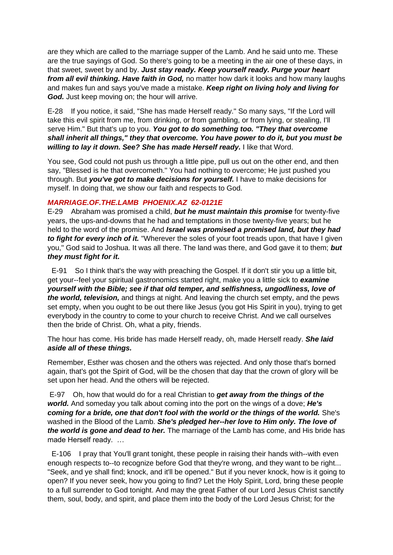are they which are called to the marriage supper of the Lamb. And he said unto me. These are the true sayings of God. So there's going to be a meeting in the air one of these days, in that sweet, sweet by and by. *Just stay ready. Keep yourself ready. Purge your heart from all evil thinking. Have faith in God,* no matter how dark it looks and how many laughs and makes fun and says you've made a mistake. *Keep right on living holy and living for God.* Just keep moving on; the hour will arrive.

E-28 If you notice, it said, "She has made Herself ready." So many says, "If the Lord will take this evil spirit from me, from drinking, or from gambling, or from lying, or stealing, I'll serve Him." But that's up to you. *You got to do something too. "They that overcome shall inherit all things," they that overcome. You have power to do it, but you must be willing to lay it down. See? She has made Herself ready.* I like that Word.

You see, God could not push us through a little pipe, pull us out on the other end, and then say, "Blessed is he that overcometh." You had nothing to overcome; He just pushed you through. But *you've got to make decisions for yourself.* I have to make decisions for myself. In doing that, we show our faith and respects to God.

### *MARRIAGE.OF.THE.LAMB PHOENIX.AZ 62-0121E*

E-29 Abraham was promised a child, *but he must maintain this promise* for twenty-five years, the ups-and-downs that he had and temptations in those twenty-five years; but he held to the word of the promise. And *Israel was promised a promised land, but they had to fight for every inch of it.* "Wherever the soles of your foot treads upon, that have I given you," God said to Joshua. It was all there. The land was there, and God gave it to them; *but they must fight for it.* 

 E-91 So I think that's the way with preaching the Gospel. If it don't stir you up a little bit, get your--feel your spiritual gastronomics started right, make you a little sick to *examine yourself with the Bible; see if that old temper, and selfishness, ungodliness, love of the world, television,* and things at night. And leaving the church set empty, and the pews set empty, when you ought to be out there like Jesus (you got His Spirit in you), trying to get everybody in the country to come to your church to receive Christ. And we call ourselves then the bride of Christ. Oh, what a pity, friends.

The hour has come. His bride has made Herself ready, oh, made Herself ready. *She laid aside all of these things.* 

Remember, Esther was chosen and the others was rejected. And only those that's borned again, that's got the Spirit of God, will be the chosen that day that the crown of glory will be set upon her head. And the others will be rejected.

E-97 Oh, how that would do for a real Christian to *get away from the things of the world.* And someday you talk about coming into the port on the wings of a dove; *He's coming for a bride, one that don't fool with the world or the things of the world.* She's washed in the Blood of the Lamb. *She's pledged her--her love to Him only. The love of the world is gone and dead to her.* The marriage of the Lamb has come, and His bride has made Herself ready. …

 E-106 I pray that You'll grant tonight, these people in raising their hands with--with even enough respects to--to recognize before God that they're wrong, and they want to be right... "Seek, and ye shall find; knock, and it'll be opened." But if you never knock, how is it going to open? If you never seek, how you going to find? Let the Holy Spirit, Lord, bring these people to a full surrender to God tonight. And may the great Father of our Lord Jesus Christ sanctify them, soul, body, and spirit, and place them into the body of the Lord Jesus Christ; for the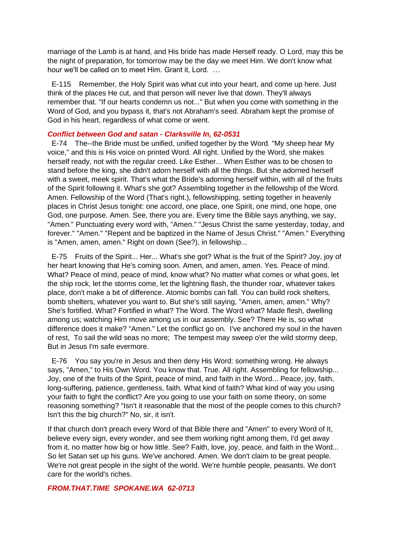marriage of the Lamb is at hand, and His bride has made Herself ready. O Lord, may this be the night of preparation, for tomorrow may be the day we meet Him. We don't know what hour we'll be called on to meet Him. Grant it, Lord. …

 E-115 Remember, the Holy Spirit was what cut into your heart, and come up here. Just think of the places He cut, and that person will never live that down. They'll always remember that. "If our hearts condemn us not..." But when you come with something in the Word of God, and you bypass it, that's not Abraham's seed. Abraham kept the promise of God in his heart, regardless of what come or went.

#### *Conflict between God and satan - Clarksville In, 62-0531*

 E-74 The--the Bride must be unified, unified together by the Word. "My sheep hear My voice," and this is His voice on printed Word. All right. Unified by the Word, she makes herself ready, not with the regular creed. Like Esther... When Esther was to be chosen to stand before the king, she didn't adorn herself with all the things. But she adorned herself with a sweet, meek spirit. That's what the Bride's adorning herself within, with all of the fruits of the Spirit following it. What's she got? Assembling together in the fellowship of the Word. Amen. Fellowship of the Word (That's right.), fellowshipping, setting together in heavenly places in Christ Jesus tonight: one accord, one place, one Spirit, one mind, one hope, one God, one purpose. Amen. See, there you are. Every time the Bible says anything, we say, "Amen." Punctuating every word with, "Amen." "Jesus Christ the same yesterday, today, and forever." "Amen." "Repent and be baptized in the Name of Jesus Christ." "Amen." Everything is "Amen, amen, amen." Right on down (See?), in fellowship...

 E-75 Fruits of the Spirit... Her... What's she got? What is the fruit of the Spirit? Joy, joy of her heart knowing that He's coming soon. Amen, and amen, amen. Yes. Peace of mind. What? Peace of mind, peace of mind, know what? No matter what comes or what goes, let the ship rock, let the storms come, let the lightning flash, the thunder roar, whatever takes place, don't make a bit of difference. Atomic bombs can fall. You can build rock shelters, bomb shelters, whatever you want to. But she's still saying, "Amen, amen, amen." Why? She's fortified. What? Fortified in what? The Word. The Word what? Made flesh, dwelling among us; watching Him move among us in our assembly. See? There He is, so what difference does it make? "Amen." Let the conflict go on. I've anchored my soul in the haven of rest, To sail the wild seas no more; The tempest may sweep o'er the wild stormy deep, But in Jesus I'm safe evermore.

 E-76 You say you're in Jesus and then deny His Word: something wrong. He always says, "Amen," to His Own Word. You know that. True. All right. Assembling for fellowship... Joy, one of the fruits of the Spirit, peace of mind, and faith in the Word... Peace, joy, faith, long-suffering, patience, gentleness, faith. What kind of faith? What kind of way you using your faith to fight the conflict? Are you going to use your faith on some theory, on some reasoning something? "Isn't it reasonable that the most of the people comes to this church? Isn't this the big church?" No, sir, it isn't.

If that church don't preach every Word of that Bible there and "Amen" to every Word of It, believe every sign, every wonder, and see them working right among them, I'd get away from it, no matter how big or how little. See? Faith, love, joy, peace, and faith in the Word... So let Satan set up his guns. We've anchored. Amen. We don't claim to be great people. We're not great people in the sight of the world. We're humble people, peasants. We don't care for the world's riches.

#### *FROM.THAT.TIME SPOKANE.WA 62-0713*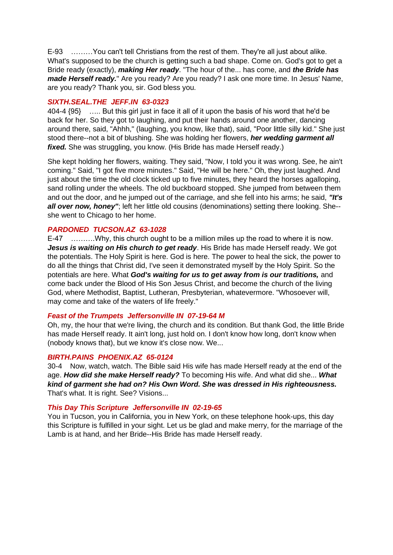E-93 ………You can't tell Christians from the rest of them. They're all just about alike. What's supposed to be the church is getting such a bad shape. Come on. God's got to get a Bride ready (exactly), *making Her ready*. "The hour of the... has come, and *the Bride has made Herself ready*." Are you ready? Are you ready? I ask one more time. In Jesus' Name, are you ready? Thank you, sir. God bless you.

### *SIXTH.SEAL.THE JEFF.IN 63-0323*

404-4 {95} ….. But this girl just in face it all of it upon the basis of his word that he'd be back for her. So they got to laughing, and put their hands around one another, dancing around there, said, "Ahhh," (laughing, you know, like that), said, "Poor little silly kid." She just stood there--not a bit of blushing. She was holding her flowers, *her wedding garment all fixed.* She was struggling, you know. (His Bride has made Herself ready.)

She kept holding her flowers, waiting. They said, "Now, I told you it was wrong. See, he ain't coming." Said, "I got five more minutes." Said, "He will be here." Oh, they just laughed. And just about the time the old clock ticked up to five minutes, they heard the horses agalloping, sand rolling under the wheels. The old buckboard stopped. She jumped from between them and out the door, and he jumped out of the carriage, and she fell into his arms; he said, *"It's*  **all over now, honey**"; left her little old cousins (denominations) setting there looking. She-she went to Chicago to her home.

#### *PARDONED TUCSON.AZ 63-1028*

E-47 ……….Why, this church ought to be a million miles up the road to where it is now. *Jesus is waiting on His church to get ready*. His Bride has made Herself ready. We got the potentials. The Holy Spirit is here. God is here. The power to heal the sick, the power to do all the things that Christ did, I've seen it demonstrated myself by the Holy Spirit. So the potentials are here. What *God's waiting for us to get away from is our traditions,* and come back under the Blood of His Son Jesus Christ, and become the church of the living God, where Methodist, Baptist, Lutheran, Presbyterian, whatevermore. "Whosoever will, may come and take of the waters of life freely."

#### *Feast of the Trumpets Jeffersonville IN 07-19-64 M*

Oh, my, the hour that we're living, the church and its condition. But thank God, the little Bride has made Herself ready. It ain't long, just hold on. I don't know how long, don't know when (nobody knows that), but we know it's close now. We...

#### *BIRTH.PAINS PHOENIX.AZ 65-0124*

30-4 Now, watch, watch. The Bible said His wife has made Herself ready at the end of the age. *How did she make Herself ready?* To becoming His wife. And what did she... *What kind of garment she had on? His Own Word. She was dressed in His righteousness.* That's what. It is right. See? Visions...

#### *This Day This Scripture Jeffersonville IN 02-19-65*

You in Tucson, you in California, you in New York, on these telephone hook-ups, this day this Scripture is fulfilled in your sight. Let us be glad and make merry, for the marriage of the Lamb is at hand, and her Bride--His Bride has made Herself ready.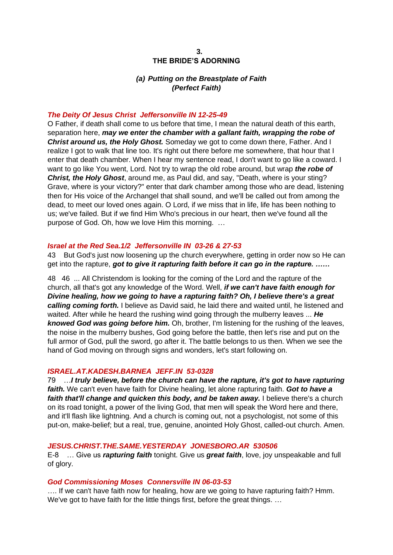### *(a) Putting on the Breastplate of Faith (Perfect Faith)*

#### *The Deity Of Jesus Christ Jeffersonville IN 12-25-49*

O Father, if death shall come to us before that time, I mean the natural death of this earth, separation here, *may we enter the chamber with a gallant faith, wrapping the robe of Christ around us, the Holy Ghost.* Someday we got to come down there, Father. And I realize I got to walk that line too. It's right out there before me somewhere, that hour that I enter that death chamber. When I hear my sentence read, I don't want to go like a coward. I want to go like You went, Lord. Not try to wrap the old robe around, but wrap *the robe of Christ, the Holy Ghost*, around me, as Paul did, and say, "Death, where is your sting? Grave, where is your victory?" enter that dark chamber among those who are dead, listening then for His voice of the Archangel that shall sound, and we'll be called out from among the dead, to meet our loved ones again. O Lord, if we miss that in life, life has been nothing to us; we've failed. But if we find Him Who's precious in our heart, then we've found all the purpose of God. Oh, how we love Him this morning. …

#### *Israel at the Red Sea.1/2 Jeffersonville IN 03-26 & 27-53*

43 But God's just now loosening up the church everywhere, getting in order now so He can get into the rapture, *got to give it rapturing faith before it can go in the rapture. ……*

48 46 ... All Christendom is looking for the coming of the Lord and the rapture of the church, all that's got any knowledge of the Word. Well, *if we can't have faith enough for Divine healing, how we going to have a rapturing faith? Oh, I believe there's a great calling coming forth.* I believe as David said, he laid there and waited until, he listened and waited. After while he heard the rushing wind going through the mulberry leaves ... *He knowed God was going before him.* Oh, brother, I'm listening for the rushing of the leaves, the noise in the mulberry bushes, God going before the battle, then let's rise and put on the full armor of God, pull the sword, go after it. The battle belongs to us then. When we see the hand of God moving on through signs and wonders, let's start following on.

#### *ISRAEL.AT.KADESH.BARNEA JEFF.IN 53-0328*

79 …*I truly believe, before the church can have the rapture, it's got to have rapturing faith.* We can't even have faith for Divine healing, let alone rapturing faith. *Got to have a*  faith that'll change and quicken this body, and be taken away. I believe there's a church on its road tonight, a power of the living God, that men will speak the Word here and there, and it'll flash like lightning. And a church is coming out, not a psychologist, not some of this put-on, make-belief; but a real, true, genuine, anointed Holy Ghost, called-out church. Amen.

#### *JESUS.CHRIST.THE.SAME.YESTERDAY JONESBORO.AR 530506*

E-8 … Give us *rapturing faith* tonight. Give us *great faith*, love, joy unspeakable and full of glory.

#### *God Commissioning Moses Connersville IN 06-03-53*

…. If we can't have faith now for healing, how are we going to have rapturing faith? Hmm. We've got to have faith for the little things first, before the great things. ...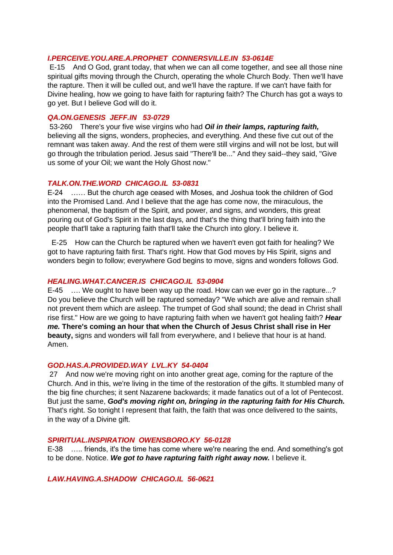#### *I.PERCEIVE.YOU.ARE.A.PROPHET CONNERSVILLE.IN 53-0614E*

E-15 And O God, grant today, that when we can all come together, and see all those nine spiritual gifts moving through the Church, operating the whole Church Body. Then we'll have the rapture. Then it will be culled out, and we'll have the rapture. If we can't have faith for Divine healing, how we going to have faith for rapturing faith? The Church has got a ways to go yet. But I believe God will do it.

#### *QA.ON.GENESIS JEFF.IN 53-0729*

53-260 There's your five wise virgins who had *Oil in their lamps, rapturing faith,* believing all the signs, wonders, prophecies, and everything. And these five cut out of the remnant was taken away. And the rest of them were still virgins and will not be lost, but will go through the tribulation period. Jesus said "There'll be..." And they said--they said, "Give us some of your Oil; we want the Holy Ghost now."

#### *TALK.ON.THE.WORD CHICAGO.IL 53-0831*

E-24 …… But the church age ceased with Moses, and Joshua took the children of God into the Promised Land. And I believe that the age has come now, the miraculous, the phenomenal, the baptism of the Spirit, and power, and signs, and wonders, this great pouring out of God's Spirit in the last days, and that's the thing that'll bring faith into the people that'll take a rapturing faith that'll take the Church into glory. I believe it.

 E-25 How can the Church be raptured when we haven't even got faith for healing? We got to have rapturing faith first. That's right. How that God moves by His Spirit, signs and wonders begin to follow; everywhere God begins to move, signs and wonders follows God.

#### *HEALING.WHAT.CANCER.IS CHICAGO.IL 53-0904*

E-45 …. We ought to have been way up the road. How can we ever go in the rapture...? Do you believe the Church will be raptured someday? "We which are alive and remain shall not prevent them which are asleep. The trumpet of God shall sound; the dead in Christ shall rise first." How are we going to have rapturing faith when we haven't got healing faith? *Hear me.* **There's coming an hour that when the Church of Jesus Christ shall rise in Her beauty,** signs and wonders will fall from everywhere, and I believe that hour is at hand. Amen.

#### *GOD.HAS.A.PROVIDED.WAY LVL.KY 54-0404*

27 And now we're moving right on into another great age, coming for the rapture of the Church. And in this, we're living in the time of the restoration of the gifts. It stumbled many of the big fine churches; it sent Nazarene backwards; it made fanatics out of a lot of Pentecost. But just the same, *God's moving right on, bringing in the rapturing faith for His Church.* That's right. So tonight I represent that faith, the faith that was once delivered to the saints, in the way of a Divine gift.

#### *SPIRITUAL.INSPIRATION OWENSBORO.KY 56-0128*

E-38 ….. friends, it's the time has come where we're nearing the end. And something's got to be done. Notice. *We got to have rapturing faith right away now.* I believe it.

*LAW.HAVING.A.SHADOW CHICAGO.IL 56-0621*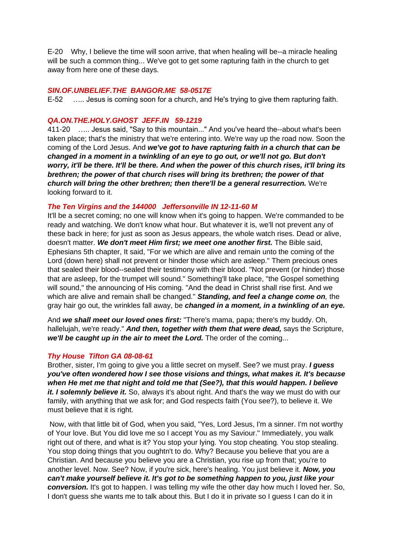E-20 Why, I believe the time will soon arrive, that when healing will be--a miracle healing will be such a common thing... We've got to get some rapturing faith in the church to get away from here one of these days.

#### *SIN.OF.UNBELIEF.THE BANGOR.ME 58-0517E*

E-52 ….. Jesus is coming soon for a church, and He's trying to give them rapturing faith.

#### *QA.ON.THE.HOLY.GHOST JEFF.IN 59-1219*

411-20 ….. Jesus said, "Say to this mountain..." And you've heard the--about what's been taken place; that's the ministry that we're entering into. We're way up the road now. Soon the coming of the Lord Jesus. And *we've got to have rapturing faith in a church that can be changed in a moment in a twinkling of an eye to go out, or we'll not go. But don't worry, it'll be there. It'll be there. And when the power of this church rises, it'll bring its brethren; the power of that church rises will bring its brethren; the power of that church will bring the other brethren; then there'll be a general resurrection.* We're looking forward to it.

#### *The Ten Virgins and the 144000 Jeffersonville IN 12-11-60 M*

It'll be a secret coming; no one will know when it's going to happen. We're commanded to be ready and watching. We don't know what hour. But whatever it is, we'll not prevent any of these back in here; for just as soon as Jesus appears, the whole watch rises. Dead or alive, doesn't matter. *We don't meet Him first; we meet one another first.* The Bible said, Ephesians 5th chapter, It said, "For we which are alive and remain unto the coming of the Lord (down here) shall not prevent or hinder those which are asleep." Them precious ones that sealed their blood--sealed their testimony with their blood. "Not prevent (or hinder) those that are asleep, for the trumpet will sound." Something'll take place, "the Gospel something will sound," the announcing of His coming. "And the dead in Christ shall rise first. And we which are alive and remain shall be changed." *Standing, and feel a change come on,* the gray hair go out, the wrinkles fall away, be *changed in a moment, in a twinkling of an eye.* 

And *we shall meet our loved ones first:* "There's mama, papa; there's my buddy. Oh, hallelujah, we're ready." *And then, together with them that were dead,* says the Scripture, *we'll be caught up in the air to meet the Lord.* The order of the coming...

#### *Thy House Tifton GA 08-08-61*

Brother, sister, I'm going to give you a little secret on myself. See? we must pray. *I guess you've often wondered how I see those visions and things, what makes it. It's because when He met me that night and told me that (See?), that this would happen. I believe it. I solemnly believe it.* So, always it's about right. And that's the way we must do with our family, with anything that we ask for; and God respects faith (You see?), to believe it. We must believe that it is right.

Now, with that little bit of God, when you said, "Yes, Lord Jesus, I'm a sinner. I'm not worthy of Your love. But You did love me so I accept You as my Saviour." Immediately, you walk right out of there, and what is it? You stop your lying. You stop cheating. You stop stealing. You stop doing things that you oughtn't to do. Why? Because you believe that you are a Christian. And because you believe you are a Christian, you rise up from that; you're to another level. Now. See? Now, if you're sick, here's healing. You just believe it. *Now, you can't make yourself believe it. It's got to be something happen to you, just like your conversion.* It's got to happen. I was telling my wife the other day how much I loved her. So, I don't guess she wants me to talk about this. But I do it in private so I guess I can do it in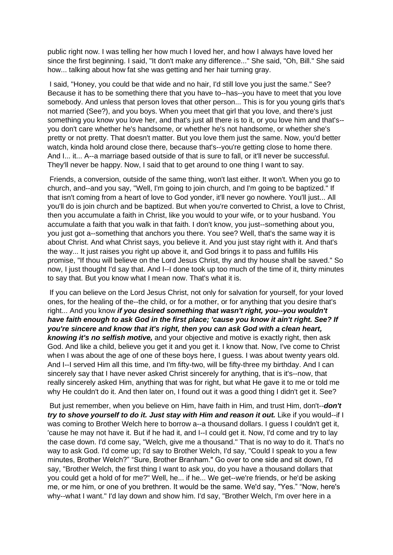public right now. I was telling her how much I loved her, and how I always have loved her since the first beginning. I said, "It don't make any difference..." She said, "Oh, Bill." She said how... talking about how fat she was getting and her hair turning gray.

I said, "Honey, you could be that wide and no hair, I'd still love you just the same." See? Because it has to be something there that you have to--has--you have to meet that you love somebody. And unless that person loves that other person... This is for you young girls that's not married (See?), and you boys. When you meet that girl that you love, and there's just something you know you love her, and that's just all there is to it, or you love him and that's- you don't care whether he's handsome, or whether he's not handsome, or whether she's pretty or not pretty. That doesn't matter. But you love them just the same. Now, you'd better watch, kinda hold around close there, because that's--you're getting close to home there. And I... it... A--a marriage based outside of that is sure to fall, or it'll never be successful. They'll never be happy. Now, I said that to get around to one thing I want to say.

Friends, a conversion, outside of the same thing, won't last either. It won't. When you go to church, and--and you say, "Well, I'm going to join church, and I'm going to be baptized." If that isn't coming from a heart of love to God yonder, it'll never go nowhere. You'll just... All you'll do is join church and be baptized. But when you're converted to Christ, a love to Christ, then you accumulate a faith in Christ, like you would to your wife, or to your husband. You accumulate a faith that you walk in that faith. I don't know, you just--something about you, you just got a--something that anchors you there. You see? Well, that's the same way it is about Christ. And what Christ says, you believe it. And you just stay right with it. And that's the way... It just raises you right up above it, and God brings it to pass and fulfills His promise, "If thou will believe on the Lord Jesus Christ, thy and thy house shall be saved." So now, I just thought I'd say that. And I--I done took up too much of the time of it, thirty minutes to say that. But you know what I mean now. That's what it is.

If you can believe on the Lord Jesus Christ, not only for salvation for yourself, for your loved ones, for the healing of the--the child, or for a mother, or for anything that you desire that's right... And you know *if you desired something that wasn't right, you--you wouldn't have faith enough to ask God in the first place; 'cause you know it ain't right. See? If you're sincere and know that it's right, then you can ask God with a clean heart, knowing it's no selfish motive,* and your objective and motive is exactly right, then ask God. And like a child, believe you get it and you get it. I know that. Now, I've come to Christ when I was about the age of one of these boys here, I guess. I was about twenty years old. And I--I served Him all this time, and I'm fifty-two, will be fifty-three my birthday. And I can sincerely say that I have never asked Christ sincerely for anything, that is it's--now, that really sincerely asked Him, anything that was for right, but what He gave it to me or told me why He couldn't do it. And then later on, I found out it was a good thing I didn't get it. See?

But just remember, when you believe on Him, have faith in Him, and trust Him, don't--*don't try to shove yourself to do it. Just stay with Him and reason it out.* Like if you would--if I was coming to Brother Welch here to borrow a--a thousand dollars. I guess I couldn't get it, 'cause he may not have it. But if he had it, and I--I could get it. Now, I'd come and try to lay the case down. I'd come say, "Welch, give me a thousand." That is no way to do it. That's no way to ask God. I'd come up; I'd say to Brother Welch, I'd say, "Could I speak to you a few minutes, Brother Welch?" "Sure, Brother Branham." Go over to one side and sit down, I'd say, "Brother Welch, the first thing I want to ask you, do you have a thousand dollars that you could get a hold of for me?" Well, he... if he... We get--we're friends, or he'd be asking me, or me him, or one of you brethren. It would be the same. We'd say, "Yes." "Now, here's why--what I want." I'd lay down and show him. I'd say, "Brother Welch, I'm over here in a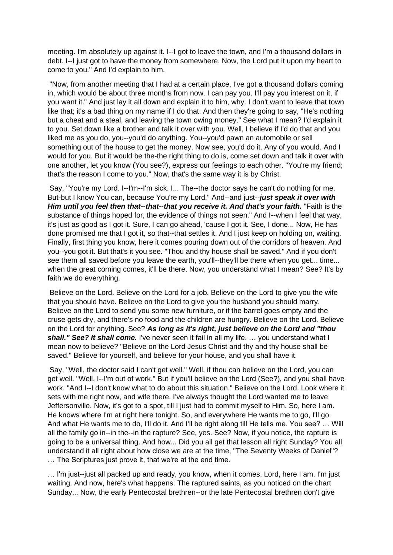meeting. I'm absolutely up against it. I--I got to leave the town, and I'm a thousand dollars in debt. I--I just got to have the money from somewhere. Now, the Lord put it upon my heart to come to you." And I'd explain to him.

"Now, from another meeting that I had at a certain place, I've got a thousand dollars coming in, which would be about three months from now. I can pay you. I'll pay you interest on it, if you want it." And just lay it all down and explain it to him, why. I don't want to leave that town like that; it's a bad thing on my name if I do that. And then they're going to say, "He's nothing but a cheat and a steal, and leaving the town owing money." See what I mean? I'd explain it to you. Set down like a brother and talk it over with you. Well, I believe if I'd do that and you liked me as you do, you--you'd do anything. You--you'd pawn an automobile or sell something out of the house to get the money. Now see, you'd do it. Any of you would. And I would for you. But it would be the-the right thing to do is, come set down and talk it over with one another, let you know (You see?), express our feelings to each other. "You're my friend; that's the reason I come to you." Now, that's the same way it is by Christ.

Say, "You're my Lord. I--I'm--I'm sick. I... The--the doctor says he can't do nothing for me. But-but I know You can, because You're my Lord." And--and just--*just speak it over with Him until you feel then that--that--that you receive it. And that's your faith.* "Faith is the substance of things hoped for, the evidence of things not seen." And I--when I feel that way, it's just as good as I got it. Sure, I can go ahead, 'cause I got it. See, I done... Now, He has done promised me that I got it, so that--that settles it. And I just keep on holding on, waiting. Finally, first thing you know, here it comes pouring down out of the corridors of heaven. And you--you got it. But that's it you see. "Thou and thy house shall be saved." And if you don't see them all saved before you leave the earth, you'll--they'll be there when you get... time... when the great coming comes, it'll be there. Now, you understand what I mean? See? It's by faith we do everything.

Believe on the Lord. Believe on the Lord for a job. Believe on the Lord to give you the wife that you should have. Believe on the Lord to give you the husband you should marry. Believe on the Lord to send you some new furniture, or if the barrel goes empty and the cruse gets dry, and there's no food and the children are hungry. Believe on the Lord. Believe on the Lord for anything. See? *As long as it's right, just believe on the Lord and "thou*  **shall." See? It shall come.** I've never seen it fail in all my life. ... you understand what I mean now to believe? "Believe on the Lord Jesus Christ and thy and thy house shall be saved." Believe for yourself, and believe for your house, and you shall have it.

Say, "Well, the doctor said I can't get well." Well, if thou can believe on the Lord, you can get well. "Well, I--I'm out of work." But if you'll believe on the Lord (See?), and you shall have work. "And I--I don't know what to do about this situation." Believe on the Lord. Look where it sets with me right now, and wife there. I've always thought the Lord wanted me to leave Jeffersonville. Now, it's got to a spot, till I just had to commit myself to Him. So, here I am. He knows where I'm at right here tonight. So, and everywhere He wants me to go, I'll go. And what He wants me to do, I'll do it. And I'll be right along till He tells me. You see? … Will all the family go in--in the--in the rapture? See, yes. See? Now, if you notice, the rapture is going to be a universal thing. And how... Did you all get that lesson all right Sunday? You all understand it all right about how close we are at the time, "The Seventy Weeks of Daniel"? … The Scriptures just prove it, that we're at the end time.

… I'm just--just all packed up and ready, you know, when it comes, Lord, here I am. I'm just waiting. And now, here's what happens. The raptured saints, as you noticed on the chart Sunday... Now, the early Pentecostal brethren--or the late Pentecostal brethren don't give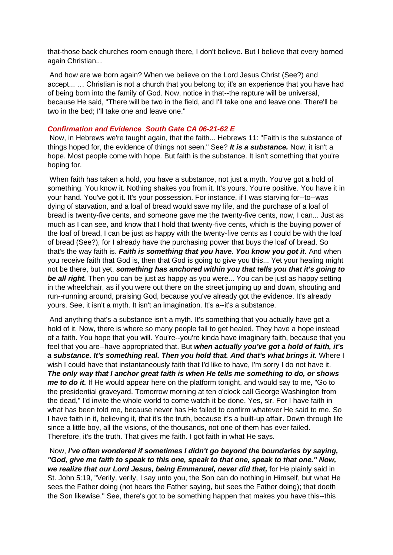that-those back churches room enough there, I don't believe. But I believe that every borned again Christian...

And how are we born again? When we believe on the Lord Jesus Christ (See?) and accept... … Christian is not a church that you belong to; it's an experience that you have had of being born into the family of God. Now, notice in that--the rapture will be universal, because He said, "There will be two in the field, and I'll take one and leave one. There'll be two in the bed; I'll take one and leave one."

#### *Confirmation and Evidence South Gate CA 06-21-62 E*

Now, in Hebrews we're taught again, that the faith... Hebrews 11: "Faith is the substance of things hoped for, the evidence of things not seen." See? *It is a substance.* Now, it isn't a hope. Most people come with hope. But faith is the substance. It isn't something that you're hoping for.

When faith has taken a hold, you have a substance, not just a myth. You've got a hold of something. You know it. Nothing shakes you from it. It's yours. You're positive. You have it in your hand. You've got it. It's your possession. For instance, if I was starving for--to--was dying of starvation, and a loaf of bread would save my life, and the purchase of a loaf of bread is twenty-five cents, and someone gave me the twenty-five cents, now, I can... Just as much as I can see, and know that I hold that twenty-five cents, which is the buying power of the loaf of bread, I can be just as happy with the twenty-five cents as I could be with the loaf of bread (See?), for I already have the purchasing power that buys the loaf of bread. So that's the way faith is. *Faith is something that you have. You know you got it.* And when you receive faith that God is, then that God is going to give you this... Yet your healing might not be there, but yet, *something has anchored within you that tells you that it's going to*  **be all right.** Then you can be just as happy as you were... You can be just as happy setting in the wheelchair, as if you were out there on the street jumping up and down, shouting and run--running around, praising God, because you've already got the evidence. It's already yours. See, it isn't a myth. It isn't an imagination. It's a--it's a substance.

And anything that's a substance isn't a myth. It's something that you actually have got a hold of it. Now, there is where so many people fail to get healed. They have a hope instead of a faith. You hope that you will. You're--you're kinda have imaginary faith, because that you feel that you are--have appropriated that. But *when actually you've got a hold of faith, it's a substance. It's something real. Then you hold that. And that's what brings it.* Where I wish I could have that instantaneously faith that I'd like to have, I'm sorry I do not have it. *The only way that I anchor great faith is when He tells me something to do, or shows me to do it.* If He would appear here on the platform tonight, and would say to me, "Go to the presidential graveyard. Tomorrow morning at ten o'clock call George Washington from the dead," I'd invite the whole world to come watch it be done. Yes, sir. For I have faith in what has been told me, because never has He failed to confirm whatever He said to me. So I have faith in it, believing it, that it's the truth, because it's a built-up affair. Down through life since a little boy, all the visions, of the thousands, not one of them has ever failed. Therefore, it's the truth. That gives me faith. I got faith in what He says.

Now, *I've often wondered if sometimes I didn't go beyond the boundaries by saying, "God, give me faith to speak to this one, speak to that one, speak to that one." Now, we realize that our Lord Jesus, being Emmanuel, never did that,* for He plainly said in St. John 5:19, "Verily, verily, I say unto you, the Son can do nothing in Himself, but what He sees the Father doing (not hears the Father saying, but sees the Father doing); that doeth the Son likewise." See, there's got to be something happen that makes you have this--this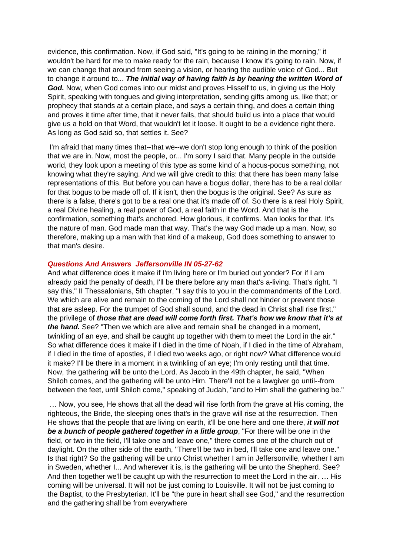evidence, this confirmation. Now, if God said, "It's going to be raining in the morning," it wouldn't be hard for me to make ready for the rain, because I know it's going to rain. Now, if we can change that around from seeing a vision, or hearing the audible voice of God... But to change it around to... *The initial way of having faith is by hearing the written Word of God.* Now, when God comes into our midst and proves Hisself to us, in giving us the Holy Spirit, speaking with tongues and giving interpretation, sending gifts among us, like that; or prophecy that stands at a certain place, and says a certain thing, and does a certain thing and proves it time after time, that it never fails, that should build us into a place that would give us a hold on that Word, that wouldn't let it loose. It ought to be a evidence right there. As long as God said so, that settles it. See?

I'm afraid that many times that--that we--we don't stop long enough to think of the position that we are in. Now, most the people, or... I'm sorry I said that. Many people in the outside world, they look upon a meeting of this type as some kind of a hocus-pocus something, not knowing what they're saying. And we will give credit to this: that there has been many false representations of this. But before you can have a bogus dollar, there has to be a real dollar for that bogus to be made off of. If it isn't, then the bogus is the original. See? As sure as there is a false, there's got to be a real one that it's made off of. So there is a real Holy Spirit, a real Divine healing, a real power of God, a real faith in the Word. And that is the confirmation, something that's anchored. How glorious, it confirms. Man looks for that. It's the nature of man. God made man that way. That's the way God made up a man. Now, so therefore, making up a man with that kind of a makeup, God does something to answer to that man's desire.

#### *Questions And Answers Jeffersonville IN 05-27-62*

And what difference does it make if I'm living here or I'm buried out yonder? For if I am already paid the penalty of death, I'll be there before any man that's a-living. That's right. "I say this," II Thessalonians, 5th chapter, "I say this to you in the commandments of the Lord. We which are alive and remain to the coming of the Lord shall not hinder or prevent those that are asleep. For the trumpet of God shall sound, and the dead in Christ shall rise first," the privilege of *those that are dead will come forth first. That's how we know that it's at the hand.* See? "Then we which are alive and remain shall be changed in a moment, twinkling of an eye, and shall be caught up together with them to meet the Lord in the air." So what difference does it make if I died in the time of Noah, if I died in the time of Abraham, if I died in the time of apostles, if I died two weeks ago, or right now? What difference would it make? I'll be there in a moment in a twinkling of an eye; I'm only resting until that time. Now, the gathering will be unto the Lord. As Jacob in the 49th chapter, he said, "When Shiloh comes, and the gathering will be unto Him. There'll not be a lawgiver go until--from between the feet, until Shiloh come," speaking of Judah, "and to Him shall the gathering be."

… Now, you see, He shows that all the dead will rise forth from the grave at His coming, the righteous, the Bride, the sleeping ones that's in the grave will rise at the resurrection. Then He shows that the people that are living on earth, it'll be one here and one there, *it will not be a bunch of people gathered together in a little group*, "For there will be one in the field, or two in the field, I'll take one and leave one," there comes one of the church out of daylight. On the other side of the earth, "There'll be two in bed, I'll take one and leave one." Is that right? So the gathering will be unto Christ whether I am in Jeffersonville, whether I am in Sweden, whether I... And wherever it is, is the gathering will be unto the Shepherd. See? And then together we'll be caught up with the resurrection to meet the Lord in the air. … His coming will be universal. It will not be just coming to Louisville. It will not be just coming to the Baptist, to the Presbyterian. It'll be "the pure in heart shall see God," and the resurrection and the gathering shall be from everywhere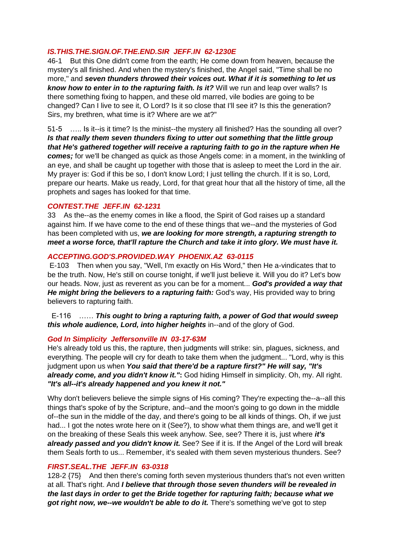### *IS.THIS.THE.SIGN.OF.THE.END.SIR JEFF.IN 62-1230E*

46-1 But this One didn't come from the earth; He come down from heaven, because the mystery's all finished. And when the mystery's finished, the Angel said, "Time shall be no more," and *seven thunders throwed their voices out. What if it is something to let us know how to enter in to the rapturing faith. Is it?* Will we run and leap over walls? Is there something fixing to happen, and these old marred, vile bodies are going to be changed? Can I live to see it, O Lord? Is it so close that I'll see it? Is this the generation? Sirs, my brethren, what time is it? Where are we at?"

51-5 ….. Is it--is it time? Is the minist--the mystery all finished? Has the sounding all over? *Is that really them seven thunders fixing to utter out something that the little group that He's gathered together will receive a rapturing faith to go in the rapture when He comes;* for we'll be changed as quick as those Angels come: in a moment, in the twinkling of an eye, and shall be caught up together with those that is asleep to meet the Lord in the air. My prayer is: God if this be so, I don't know Lord; I just telling the church. If it is so, Lord, prepare our hearts. Make us ready, Lord, for that great hour that all the history of time, all the prophets and sages has looked for that time.

### *CONTEST.THE JEFF.IN 62-1231*

33 As the--as the enemy comes in like a flood, the Spirit of God raises up a standard against him. If we have come to the end of these things that we--and the mysteries of God has been completed with us, *we are looking for more strength, a rapturing strength to meet a worse force, that'll rapture the Church and take it into glory. We must have it.*

### *ACCEPTING.GOD'S.PROVIDED.WAY PHOENIX.AZ 63-0115*

E-103 Then when you say, "Well, I'm exactly on His Word," then He a-vindicates that to be the truth. Now, He's still on course tonight, if we'll just believe it. Will you do it? Let's bow our heads. Now, just as reverent as you can be for a moment... *God's provided a way that He might bring the believers to a rapturing faith:* God's way, His provided way to bring believers to rapturing faith.

 E-116 …… *This ought to bring a rapturing faith, a power of God that would sweep this whole audience, Lord, into higher heights* in--and of the glory of God.

#### *God In Simplicity Jeffersonville IN 03-17-63M*

He's already told us this, the rapture, then judgments will strike: sin, plagues, sickness, and everything. The people will cry for death to take them when the judgment... "Lord, why is this judgment upon us when *You said that there'd be a rapture first?" He will say, "It's already come, and you didn't know it."***:** God hiding Himself in simplicity. Oh, my. All right. *"It's all--it's already happened and you knew it not."* 

Why don't believers believe the simple signs of His coming? They're expecting the--a--all this things that's spoke of by the Scripture, and--and the moon's going to go down in the middle of--the sun in the middle of the day, and there's going to be all kinds of things. Oh, if we just had... I got the notes wrote here on it (See?), to show what them things are, and we'll get it on the breaking of these Seals this week anyhow. See, see? There it is, just where *it's already passed and you didn't know it.* See? See if it is. If the Angel of the Lord will break them Seals forth to us... Remember, it's sealed with them seven mysterious thunders. See?

### *FIRST.SEAL.THE JEFF.IN 63-0318*

128-2 {75} And then there's coming forth seven mysterious thunders that's not even written at all. That's right. And *I believe that through those seven thunders will be revealed in the last days in order to get the Bride together for rapturing faith; because what we got right now, we--we wouldn't be able to do it.* There's something we've got to step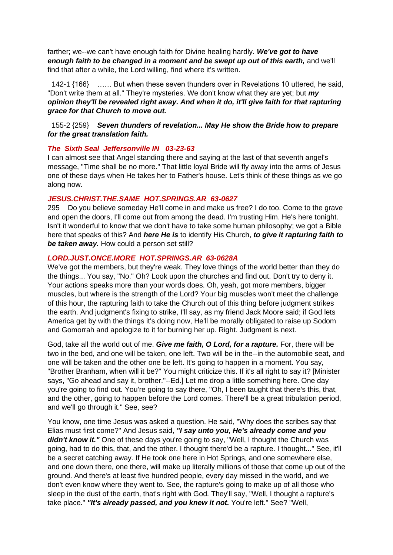farther; we--we can't have enough faith for Divine healing hardly. *We've got to have enough faith to be changed in a moment and be swept up out of this earth,* and we'll find that after a while, the Lord willing, find where it's written.

 142-1 {166} …… But when these seven thunders over in Revelations 10 uttered, he said, "Don't write them at all." They're mysteries. We don't know what they are yet; but *my opinion they'll be revealed right away. And when it do, it'll give faith for that rapturing grace for that Church to move out.* 

#### 155-2 {259} *Seven thunders of revelation... May He show the Bride how to prepare for the great translation faith.*

#### *The Sixth Seal Jeffersonville IN 03-23-63*

I can almost see that Angel standing there and saying at the last of that seventh angel's message, "Time shall be no more." That little loyal Bride will fly away into the arms of Jesus one of these days when He takes her to Father's house. Let's think of these things as we go along now.

#### *JESUS.CHRIST.THE.SAME HOT.SPRINGS.AR 63-0627*

295 Do you believe someday He'll come in and make us free? I do too. Come to the grave and open the doors, I'll come out from among the dead. I'm trusting Him. He's here tonight. Isn't it wonderful to know that we don't have to take some human philosophy; we got a Bible here that speaks of this? And *here He is* to identify His Church, *to give it rapturing faith to be taken away.* How could a person set still?

### *LORD.JUST.ONCE.MORE HOT.SPRINGS.AR 63-0628A*

We've got the members, but they're weak. They love things of the world better than they do the things... You say, "No." Oh? Look upon the churches and find out. Don't try to deny it. Your actions speaks more than your words does. Oh, yeah, got more members, bigger muscles, but where is the strength of the Lord? Your big muscles won't meet the challenge of this hour, the rapturing faith to take the Church out of this thing before judgment strikes the earth. And judgment's fixing to strike, I'll say, as my friend Jack Moore said; if God lets America get by with the things it's doing now, He'll be morally obligated to raise up Sodom and Gomorrah and apologize to it for burning her up. Right. Judgment is next.

God, take all the world out of me. *Give me faith, O Lord, for a rapture.* For, there will be two in the bed, and one will be taken, one left. Two will be in the--in the automobile seat, and one will be taken and the other one be left. It's going to happen in a moment. You say, "Brother Branham, when will it be?" You might criticize this. If it's all right to say it? [Minister says, "Go ahead and say it, brother."--Ed.] Let me drop a little something here. One day you're going to find out. You're going to say there, "Oh, I been taught that there's this, that, and the other, going to happen before the Lord comes. There'll be a great tribulation period, and we'll go through it." See, see?

You know, one time Jesus was asked a question. He said, "Why does the scribes say that Elias must first come?" And Jesus said, *"I say unto you, He's already come and you*  didn't know it." One of these days you're going to say, "Well, I thought the Church was going, had to do this, that, and the other. I thought there'd be a rapture. I thought..." See, it'll be a secret catching away. If He took one here in Hot Springs, and one somewhere else, and one down there, one there, will make up literally millions of those that come up out of the ground. And there's at least five hundred people, every day missed in the world, and we don't even know where they went to. See, the rapture's going to make up of all those who sleep in the dust of the earth, that's right with God. They'll say, "Well, I thought a rapture's take place." *"It's already passed, and you knew it not.* You're left." See? "Well,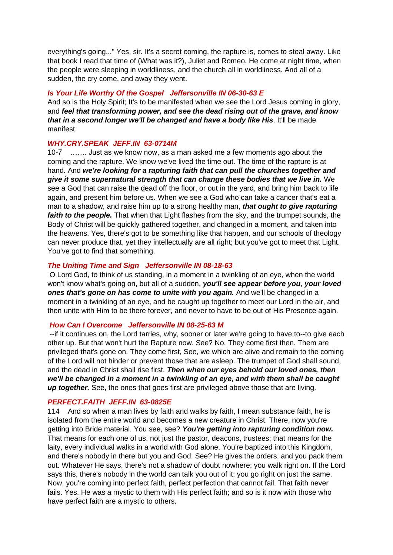everything's going..." Yes, sir. It's a secret coming, the rapture is, comes to steal away. Like that book I read that time of (What was it?), Juliet and Romeo. He come at night time, when the people were sleeping in worldliness, and the church all in worldliness. And all of a sudden, the cry come, and away they went.

#### *Is Your Life Worthy Of the Gospel Jeffersonville IN 06-30-63 E*

And so is the Holy Spirit; It's to be manifested when we see the Lord Jesus coming in glory, and *feel that transforming power, and see the dead rising out of the grave, and know that in a second longer we'll be changed and have a body like His*. It'll be made manifest.

#### *WHY.CRY.SPEAK JEFF.IN 63-0714M*

10-7 ……. Just as we know now, as a man asked me a few moments ago about the coming and the rapture. We know we've lived the time out. The time of the rapture is at hand. And *we're looking for a rapturing faith that can pull the churches together and give it some supernatural strength that can change these bodies that we live in.* We see a God that can raise the dead off the floor, or out in the yard, and bring him back to life again, and present him before us. When we see a God who can take a cancer that's eat a man to a shadow, and raise him up to a strong healthy man, *that ought to give rapturing faith to the people.* That when that Light flashes from the sky, and the trumpet sounds, the Body of Christ will be quickly gathered together, and changed in a moment, and taken into the heavens. Yes, there's got to be something like that happen, and our schools of theology can never produce that, yet they intellectually are all right; but you've got to meet that Light. You've got to find that something.

#### *The Uniting Time and Sign Jeffersonville IN 08-18-63*

O Lord God, to think of us standing, in a moment in a twinkling of an eye, when the world won't know what's going on, but all of a sudden, *you'll see appear before you, your loved ones that's gone on has come to unite with you again.* And we'll be changed in a moment in a twinkling of an eye, and be caught up together to meet our Lord in the air, and then unite with Him to be there forever, and never to have to be out of His Presence again.

#### *How Can I Overcome Jeffersonville IN 08-25-63 M*

--if it continues on, the Lord tarries, why, sooner or later we're going to have to--to give each other up. But that won't hurt the Rapture now. See? No. They come first then. Them are privileged that's gone on. They come first, See, we which are alive and remain to the coming of the Lord will not hinder or prevent those that are asleep. The trumpet of God shall sound, and the dead in Christ shall rise first. *Then when our eyes behold our loved ones, then we'll be changed in a moment in a twinkling of an eye, and with them shall be caught up together.* See, the ones that goes first are privileged above those that are living.

#### *PERFECT.FAITH JEFF.IN 63-0825E*

114 And so when a man lives by faith and walks by faith, I mean substance faith, he is isolated from the entire world and becomes a new creature in Christ. There, now you're getting into Bride material. You see, see? *You're getting into rapturing condition now.* That means for each one of us, not just the pastor, deacons, trustees; that means for the laity, every individual walks in a world with God alone. You're baptized into this Kingdom, and there's nobody in there but you and God. See? He gives the orders, and you pack them out. Whatever He says, there's not a shadow of doubt nowhere; you walk right on. If the Lord says this, there's nobody in the world can talk you out of it; you go right on just the same. Now, you're coming into perfect faith, perfect perfection that cannot fail. That faith never fails. Yes, He was a mystic to them with His perfect faith; and so is it now with those who have perfect faith are a mystic to others.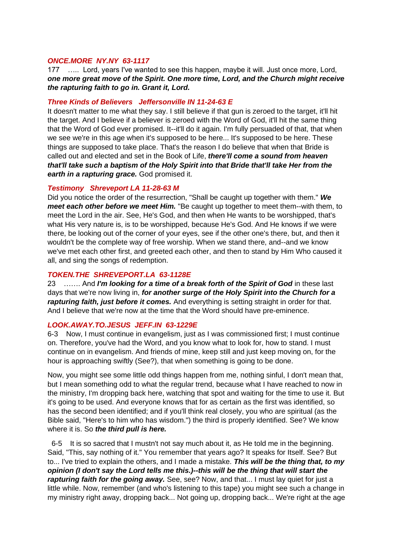#### *ONCE.MORE NY.NY 63-1117*

177 ….. Lord, years I've wanted to see this happen, maybe it will. Just once more, Lord, *one more great move of the Spirit. One more time, Lord, and the Church might receive the rapturing faith to go in. Grant it, Lord.* 

#### *Three Kinds of Believers Jeffersonville IN 11-24-63 E*

It doesn't matter to me what they say. I still believe if that gun is zeroed to the target, it'll hit the target. And I believe if a believer is zeroed with the Word of God, it'll hit the same thing that the Word of God ever promised. It--it'll do it again. I'm fully persuaded of that, that when we see we're in this age when it's supposed to be here... It's supposed to be here. These things are supposed to take place. That's the reason I do believe that when that Bride is called out and elected and set in the Book of Life, *there'll come a sound from heaven that'll take such a baptism of the Holy Spirit into that Bride that'll take Her from the earth in a rapturing grace.* God promised it.

#### *Testimony Shreveport LA 11-28-63 M*

Did you notice the order of the resurrection, "Shall be caught up together with them." *We meet each other before we meet Him.* "Be caught up together to meet them--with them, to meet the Lord in the air. See, He's God, and then when He wants to be worshipped, that's what His very nature is, is to be worshipped, because He's God. And He knows if we were there, be looking out of the corner of your eyes, see if the other one's there, but, and then it wouldn't be the complete way of free worship. When we stand there, and--and we know we've met each other first, and greeted each other, and then to stand by Him Who caused it all, and sing the songs of redemption.

#### *TOKEN.THE SHREVEPORT.LA 63-1128E*

23 ……. And *I'm looking for a time of a break forth of the Spirit of God* in these last days that we're now living in, *for another surge of the Holy Spirit into the Church for a rapturing faith, just before it comes.* And everything is setting straight in order for that. And I believe that we're now at the time that the Word should have pre-eminence.

#### *LOOK.AWAY.TO.JESUS JEFF.IN 63-1229E*

6-3 Now, I must continue in evangelism, just as I was commissioned first; I must continue on. Therefore, you've had the Word, and you know what to look for, how to stand. I must continue on in evangelism. And friends of mine, keep still and just keep moving on, for the hour is approaching swiftly (See?), that when something is going to be done.

Now, you might see some little odd things happen from me, nothing sinful, I don't mean that, but I mean something odd to what the regular trend, because what I have reached to now in the ministry, I'm dropping back here, watching that spot and waiting for the time to use it. But it's going to be used. And everyone knows that for as certain as the first was identified, so has the second been identified; and if you'll think real closely, you who are spiritual (as the Bible said, "Here's to him who has wisdom.") the third is properly identified. See? We know where it is. So *the third pull is here.*

 6-5 It is so sacred that I mustn't not say much about it, as He told me in the beginning. Said, "This, say nothing of it." You remember that years ago? It speaks for Itself. See? But to... I've tried to explain the others, and I made a mistake. *This will be the thing that, to my opinion (I don't say the Lord tells me this.)--this will be the thing that will start the rapturing faith for the going away.* See, see? Now, and that... I must lay quiet for just a little while. Now, remember (and who's listening to this tape) you might see such a change in my ministry right away, dropping back... Not going up, dropping back... We're right at the age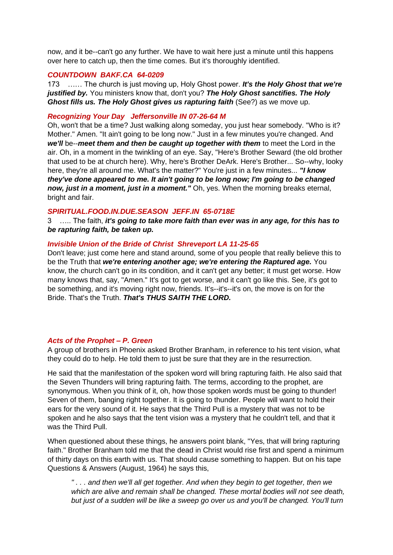now, and it be--can't go any further. We have to wait here just a minute until this happens over here to catch up, then the time comes. But it's thoroughly identified.

#### *COUNTDOWN BAKF.CA 64-0209*

173 …… The church is just moving up, Holy Ghost power. *It's the Holy Ghost that we're justified by.* You ministers know that, don't you? *The Holy Ghost sanctifies. The Holy Ghost fills us. The Holy Ghost gives us rapturing faith* (See?) as we move up.

#### *Recognizing Your Day Jeffersonville IN 07-26-64 M*

Oh, won't that be a time? Just walking along someday, you just hear somebody. "Who is it? Mother." Amen. "It ain't going to be long now." Just in a few minutes you're changed. And *we'll* be--*meet them and then be caught up together with them* to meet the Lord in the air. Oh, in a moment in the twinkling of an eye. Say, "Here's Brother Seward (the old brother that used to be at church here). Why, here's Brother DeArk. Here's Brother... So--why, looky here, they're all around me. What's the matter?" You're just in a few minutes... *"I know they've done appeared to me. It ain't going to be long now; I'm going to be changed now, just in a moment, just in a moment."* Oh, yes. When the morning breaks eternal, bright and fair.

#### *SPIRITUAL.FOOD.IN.DUE.SEASON JEFF.IN 65-0718E*

3 ….. The faith, *it's going to take more faith than ever was in any age, for this has to be rapturing faith, be taken up.*

#### *Invisible Union of the Bride of Christ Shreveport LA 11-25-65*

Don't leave; just come here and stand around, some of you people that really believe this to be the Truth that *we're entering another age; we're entering the Raptured age.* You know, the church can't go in its condition, and it can't get any better; it must get worse. How many knows that, say, "Amen." It's got to get worse, and it can't go like this. See, it's got to be something, and it's moving right now, friends. It's--it's--it's on, the move is on for the Bride. That's the Truth. *That's THUS SAITH THE LORD.*

#### *Acts of the Prophet – P. Green*

A group of brothers in Phoenix asked Brother Branham, in reference to his tent vision, what they could do to help. He told them to just be sure that they are in the resurrection.

He said that the manifestation of the spoken word will bring rapturing faith. He also said that the Seven Thunders will bring rapturing faith. The terms, according to the prophet, are synonymous. When you think of it, oh, how those spoken words must be going to thunder! Seven of them, banging right together. It is going to thunder. People will want to hold their ears for the very sound of it. He says that the Third Pull is a mystery that was not to be spoken and he also says that the tent vision was a mystery that he couldn't tell, and that it was the Third Pull.

When questioned about these things, he answers point blank, "Yes, that will bring rapturing faith." Brother Branham told me that the dead in Christ would rise first and spend a minimum of thirty days on this earth with us. That should cause something to happen. But on his tape Questions & Answers (August, 1964) he says this,

*" . . . and then we'll all get together. And when they begin to get together, then we which are alive and remain shall be changed. These mortal bodies will not see death, but just of a sudden will be like a sweep go over us and you'll be changed. You'll turn*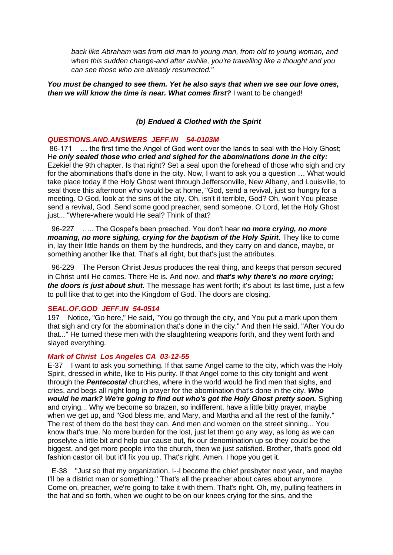*back like Abraham was from old man to young man, from old to young woman, and when this sudden change-and after awhile, you're travelling like a thought and you can see those who are already resurrected."* 

*You must be changed to see them. Yet he also says that when we see our love ones, then we will know the time is near. What comes first?* I want to be changed!

### *(b) Endued & Clothed with the Spirit*

#### *QUESTIONS.AND.ANSWERS JEFF.IN 54-0103M*

86-171 … the first time the Angel of God went over the lands to seal with the Holy Ghost; H*e only sealed those who cried and sighed for the abominations done in the city:* Ezekiel the 9th chapter. Is that right? Set a seal upon the forehead of those who sigh and cry for the abominations that's done in the city. Now, I want to ask you a question … What would take place today if the Holy Ghost went through Jeffersonville, New Albany, and Louisville, to seal those this afternoon who would be at home, "God, send a revival, just so hungry for a meeting. O God, look at the sins of the city. Oh, isn't it terrible, God? Oh, won't You please send a revival, God. Send some good preacher, send someone. O Lord, let the Holy Ghost just... "Where-where would He seal? Think of that?

 96-227 ….. The Gospel's been preached. You don't hear *no more crying, no more moaning, no more sighing, crying for the baptism of the Holy Spirit.* They like to come in, lay their little hands on them by the hundreds, and they carry on and dance, maybe, or something another like that. That's all right, but that's just the attributes.

 96-229 The Person Christ Jesus produces the real thing, and keeps that person secured in Christ until He comes. There He is. And now, and *that's why there's no more crying; the doors is just about shut.* The message has went forth; it's about its last time, just a few to pull like that to get into the Kingdom of God. The doors are closing.

#### *SEAL.OF.GOD JEFF.IN 54-0514*

197 Notice, "Go here," He said, "You go through the city, and You put a mark upon them that sigh and cry for the abomination that's done in the city." And then He said, "After You do that..." He turned these men with the slaughtering weapons forth, and they went forth and slayed everything.

### *Mark of Christ Los Angeles CA 03-12-55*

E-37 I want to ask you something. If that same Angel came to the city, which was the Holy Spirit, dressed in white, like to His purity. If that Angel come to this city tonight and went through the *Pentecostal* churches, where in the world would he find men that sighs, and cries, and begs all night long in prayer for the abomination that's done in the city. *Who would he mark? We're going to find out who's got the Holy Ghost pretty soon.* Sighing and crying... Why we become so brazen, so indifferent, have a little bitty prayer, maybe when we get up, and "God bless me, and Mary, and Martha and all the rest of the family." The rest of them do the best they can. And men and women on the street sinning... You know that's true. No more burden for the lost, just let them go any way, as long as we can proselyte a little bit and help our cause out, fix our denomination up so they could be the biggest, and get more people into the church, then we just satisfied. Brother, that's good old fashion castor oil, but it'll fix you up. That's right. Amen. I hope you get it.

 E-38 "Just so that my organization, I--I become the chief presbyter next year, and maybe I'll be a district man or something." That's all the preacher about cares about anymore. Come on, preacher, we're going to take it with them. That's right. Oh, my, pulling feathers in the hat and so forth, when we ought to be on our knees crying for the sins, and the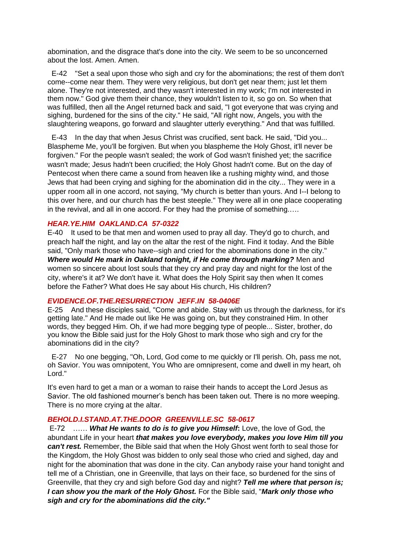abomination, and the disgrace that's done into the city. We seem to be so unconcerned about the lost. Amen. Amen.

 E-42 "Set a seal upon those who sigh and cry for the abominations; the rest of them don't come--come near them. They were very religious, but don't get near them; just let them alone. They're not interested, and they wasn't interested in my work; I'm not interested in them now." God give them their chance, they wouldn't listen to it, so go on. So when that was fulfilled, then all the Angel returned back and said, "I got everyone that was crying and sighing, burdened for the sins of the city." He said, "All right now, Angels, you with the slaughtering weapons, go forward and slaughter utterly everything." And that was fulfilled.

 E-43 In the day that when Jesus Christ was crucified, sent back. He said, "Did you... Blaspheme Me, you'll be forgiven. But when you blaspheme the Holy Ghost, it'll never be forgiven." For the people wasn't sealed; the work of God wasn't finished yet; the sacrifice wasn't made; Jesus hadn't been crucified; the Holy Ghost hadn't come. But on the day of Pentecost when there came a sound from heaven like a rushing mighty wind, and those Jews that had been crying and sighing for the abomination did in the city... They were in a upper room all in one accord, not saying, "My church is better than yours. And I--I belong to this over here, and our church has the best steeple." They were all in one place cooperating in the revival, and all in one accord. For they had the promise of something.….

#### *HEAR.YE.HIM OAKLAND.CA 57-0322*

E-40 It used to be that men and women used to pray all day. They'd go to church, and preach half the night, and lay on the altar the rest of the night. Find it today. And the Bible said, "Only mark those who have--sigh and cried for the abominations done in the city." *Where would He mark in Oakland tonight, if He come through marking?* Men and women so sincere about lost souls that they cry and pray day and night for the lost of the city, where's it at? We don't have it. What does the Holy Spirit say then when It comes before the Father? What does He say about His church, His children?

#### *EVIDENCE.OF.THE.RESURRECTION JEFF.IN 58-0406E*

E-25 And these disciples said, "Come and abide. Stay with us through the darkness, for it's getting late." And He made out like He was going on, but they constrained Him. In other words, they begged Him. Oh, if we had more begging type of people... Sister, brother, do you know the Bible said just for the Holy Ghost to mark those who sigh and cry for the abominations did in the city?

 E-27 No one begging, "Oh, Lord, God come to me quickly or I'll perish. Oh, pass me not, oh Savior. You was omnipotent, You Who are omnipresent, come and dwell in my heart, oh Lord."

It's even hard to get a man or a woman to raise their hands to accept the Lord Jesus as Savior. The old fashioned mourner's bench has been taken out. There is no more weeping. There is no more crying at the altar.

#### *BEHOLD.I.STAND.AT.THE.DOOR GREENVILLE.SC 58-0617*

E-72 …… *What He wants to do is to give you Himself***:** Love, the love of God, the abundant Life in your heart *that makes you love everybody, makes you love Him till you can't rest.* Remember, the Bible said that when the Holy Ghost went forth to seal those for the Kingdom, the Holy Ghost was bidden to only seal those who cried and sighed, day and night for the abomination that was done in the city. Can anybody raise your hand tonight and tell me of a Christian, one in Greenville, that lays on their face, so burdened for the sins of Greenville, that they cry and sigh before God day and night? *Tell me where that person is; I can show you the mark of the Holy Ghost.* For the Bible said, "*Mark only those who sigh and cry for the abominations did the city."*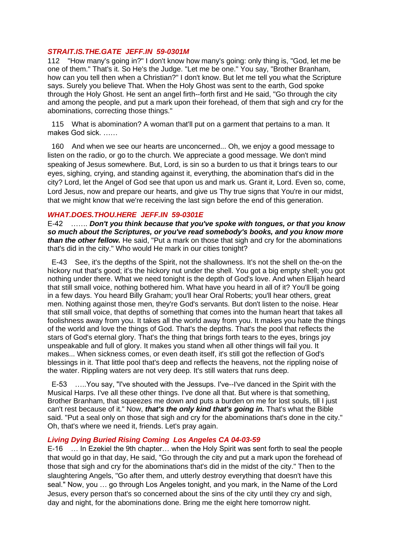#### *STRAIT.IS.THE.GATE JEFF.IN 59-0301M*

112 "How many's going in?" I don't know how many's going: only thing is, "God, let me be one of them." That's it. So He's the Judge. "Let me be one." You say, "Brother Branham, how can you tell then when a Christian?" I don't know. But let me tell you what the Scripture says. Surely you believe That. When the Holy Ghost was sent to the earth, God spoke through the Holy Ghost. He sent an angel firth--forth first and He said, "Go through the city and among the people, and put a mark upon their forehead, of them that sigh and cry for the abominations, correcting those things."

 115 What is abomination? A woman that'll put on a garment that pertains to a man. It makes God sick. ……

 160 And when we see our hearts are unconcerned... Oh, we enjoy a good message to listen on the radio, or go to the church. We appreciate a good message. We don't mind speaking of Jesus somewhere. But, Lord, is sin so a burden to us that it brings tears to our eyes, sighing, crying, and standing against it, everything, the abomination that's did in the city? Lord, let the Angel of God see that upon us and mark us. Grant it, Lord. Even so, come, Lord Jesus, now and prepare our hearts, and give us Thy true signs that You're in our midst. that we might know that we're receiving the last sign before the end of this generation.

#### *WHAT.DOES.THOU.HERE JEFF.IN 59-0301E*

E-42 ……. *Don't you think because that you've spoke with tongues, or that you know so much about the Scriptures, or you've read somebody's books, and you know more than the other fellow.* He said, "Put a mark on those that sigh and cry for the abominations that's did in the city." Who would He mark in our cities tonight?

 E-43 See, it's the depths of the Spirit, not the shallowness. It's not the shell on the-on the hickory nut that's good; it's the hickory nut under the shell. You got a big empty shell; you got nothing under there. What we need tonight is the depth of God's love. And when Elijah heard that still small voice, nothing bothered him. What have you heard in all of it? You'll be going in a few days. You heard Billy Graham; you'll hear Oral Roberts; you'll hear others, great men. Nothing against those men, they're God's servants. But don't listen to the noise. Hear that still small voice, that depths of something that comes into the human heart that takes all foolishness away from you. It takes all the world away from you. It makes you hate the things of the world and love the things of God. That's the depths. That's the pool that reflects the stars of God's eternal glory. That's the thing that brings forth tears to the eyes, brings joy unspeakable and full of glory. It makes you stand when all other things will fail you. It makes... When sickness comes, or even death itself, it's still got the reflection of God's blessings in it. That little pool that's deep and reflects the heavens, not the rippling noise of the water. Rippling waters are not very deep. It's still waters that runs deep.

 E-53 …..You say, "I've shouted with the Jessups. I've--I've danced in the Spirit with the Musical Harps. I've all these other things. I've done all that. But where is that something, Brother Branham, that squeezes me down and puts a burden on me for lost souls, till I just can't rest because of it." Now, *that's the only kind that's going in.* That's what the Bible said. "Put a seal only on those that sigh and cry for the abominations that's done in the city." Oh, that's where we need it, friends. Let's pray again.

#### *Living Dying Buried Rising Coming Los Angeles CA 04-03-59*

E-16 … In Ezekiel the 9th chapter… when the Holy Spirit was sent forth to seal the people that would go in that day, He said, "Go through the city and put a mark upon the forehead of those that sigh and cry for the abominations that's did in the midst of the city." Then to the slaughtering Angels, "Go after them, and utterly destroy everything that doesn't have this seal." Now, you … go through Los Angeles tonight, and you mark, in the Name of the Lord Jesus, every person that's so concerned about the sins of the city until they cry and sigh, day and night, for the abominations done. Bring me the eight here tomorrow night.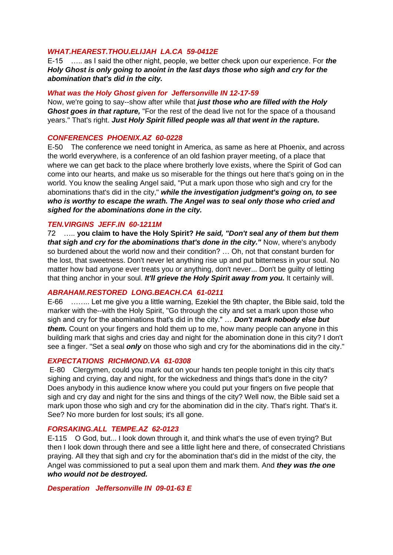#### *WHAT.HEAREST.THOU.ELIJAH LA.CA 59-0412E*

E-15 ….. as I said the other night, people, we better check upon our experience. For *the Holy Ghost is only going to anoint in the last days those who sigh and cry for the abomination that's did in the city.* 

#### *What was the Holy Ghost given for Jeffersonville IN 12-17-59*

Now, we're going to say--show after while that *just those who are filled with the Holy Ghost goes in that rapture,* "For the rest of the dead live not for the space of a thousand years." That's right. *Just Holy Spirit filled people was all that went in the rapture.* 

#### *CONFERENCES PHOENIX.AZ 60-0228*

E-50 The conference we need tonight in America, as same as here at Phoenix, and across the world everywhere, is a conference of an old fashion prayer meeting, of a place that where we can get back to the place where brotherly love exists, where the Spirit of God can come into our hearts, and make us so miserable for the things out here that's going on in the world. You know the sealing Angel said, "Put a mark upon those who sigh and cry for the abominations that's did in the city," *while the investigation judgment's going on, to see who is worthy to escape the wrath. The Angel was to seal only those who cried and sighed for the abominations done in the city.* 

#### *TEN.VIRGINS JEFF.IN 60-1211M*

72 ….. **you claim to have the Holy Spirit?** *He said, "Don't seal any of them but them that sigh and cry for the abominations that's done in the city." Now, where's anybody* so burdened about the world now and their condition? … Oh, not that constant burden for the lost, that sweetness. Don't never let anything rise up and put bitterness in your soul. No matter how bad anyone ever treats you or anything, don't never... Don't be guilty of letting that thing anchor in your soul. *It'll grieve the Holy Spirit away from you.* It certainly will.

#### *ABRAHAM.RESTORED LONG.BEACH.CA 61-0211*

E-66 …….. Let me give you a little warning, Ezekiel the 9th chapter, the Bible said, told the marker with the--with the Holy Spirit, "Go through the city and set a mark upon those who sigh and cry for the abominations that's did in the city." … *Don't mark nobody else but them.* Count on your fingers and hold them up to me, how many people can anyone in this building mark that sighs and cries day and night for the abomination done in this city? I don't see a finger. "Set a seal *only* on those who sigh and cry for the abominations did in the city."

#### *EXPECTATIONS RICHMOND.VA 61-0308*

E-80 Clergymen, could you mark out on your hands ten people tonight in this city that's sighing and crying, day and night, for the wickedness and things that's done in the city? Does anybody in this audience know where you could put your fingers on five people that sigh and cry day and night for the sins and things of the city? Well now, the Bible said set a mark upon those who sigh and cry for the abomination did in the city. That's right. That's it. See? No more burden for lost souls; it's all gone.

#### *FORSAKING.ALL TEMPE.AZ 62-0123*

E-115 O God, but... I look down through it, and think what's the use of even trying? But then I look down through there and see a little light here and there, of consecrated Christians praying. All they that sigh and cry for the abomination that's did in the midst of the city, the Angel was commissioned to put a seal upon them and mark them. And *they was the one who would not be destroyed.* 

#### *Desperation Jeffersonville IN 09-01-63 E*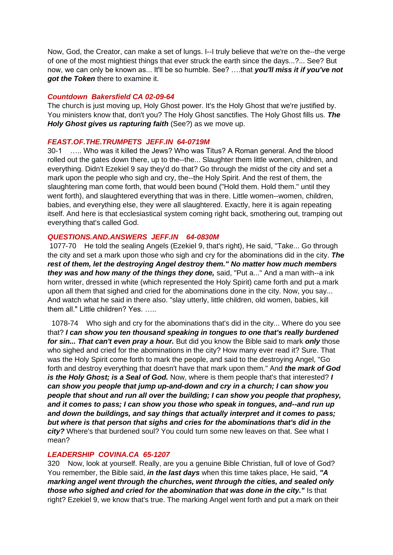Now, God, the Creator, can make a set of lungs. I--I truly believe that we're on the--the verge of one of the most mightiest things that ever struck the earth since the days...?... See? But now, we can only be known as... It'll be so humble. See? ….that *you'll miss it if you've not got the Token* there to examine it.

### *Countdown Bakersfield CA 02-09-64*

The church is just moving up, Holy Ghost power. It's the Holy Ghost that we're justified by. You ministers know that, don't you? The Holy Ghost sanctifies. The Holy Ghost fills us. *The Holy Ghost gives us rapturing faith* (See?) as we move up.

### *FEAST.OF.THE.TRUMPETS JEFF.IN 64-0719M*

30-1 ….. Who was it killed the Jews? Who was Titus? A Roman general. And the blood rolled out the gates down there, up to the--the... Slaughter them little women, children, and everything. Didn't Ezekiel 9 say they'd do that? Go through the midst of the city and set a mark upon the people who sigh and cry, the--the Holy Spirit. And the rest of them, the slaughtering man come forth, that would been bound ("Hold them. Hold them." until they went forth), and slaughtered everything that was in there. Little women--women, children, babies, and everything else, they were all slaughtered. Exactly, here it is again repeating itself. And here is that ecclesiastical system coming right back, smothering out, tramping out everything that's called God.

### *QUESTIONS.AND.ANSWERS JEFF.IN 64-0830M*

1077-70 He told the sealing Angels (Ezekiel 9, that's right), He said, "Take... Go through the city and set a mark upon those who sigh and cry for the abominations did in the city. *The rest of them, let the destroying Angel destroy them." No matter how much members they was and how many of the things they done,* said, "Put a..." And a man with--a ink horn writer, dressed in white (which represented the Holy Spirit) came forth and put a mark upon all them that sighed and cried for the abominations done in the city. Now, you say... And watch what he said in there also. "slay utterly, little children, old women, babies, kill them all." Little children? Yes. …..

 1078-74 Who sigh and cry for the abominations that's did in the city... Where do you see that? *I can show you ten thousand speaking in tongues to one that's really burdened for sin... That can't even pray a hour.* But did you know the Bible said to mark *only* those who sighed and cried for the abominations in the city? How many ever read it? Sure. That was the Holy Spirit come forth to mark the people, and said to the destroying Angel, "Go forth and destroy everything that doesn't have that mark upon them." And *the mark of God is the Holy Ghost; is a Seal of God.* Now, where is them people that's that interested? *I can show you people that jump up-and-down and cry in a church; I can show you people that shout and run all over the building; I can show you people that prophesy, and it comes to pass; I can show you those who speak in tongues, and--and run up and down the buildings, and say things that actually interpret and it comes to pass; but where is that person that sighs and cries for the abominations that's did in the city?* Where's that burdened soul? You could turn some new leaves on that. See what I mean?

### *LEADERSHIP COVINA.CA 65-1207*

320 Now, look at yourself. Really, are you a genuine Bible Christian, full of love of God? You remember, the Bible said, *in the last days* when this time takes place, He said, *"A marking angel went through the churches, went through the cities, and sealed only those who sighed and cried for the abomination that was done in the city."* Is that right? Ezekiel 9, we know that's true. The marking Angel went forth and put a mark on their